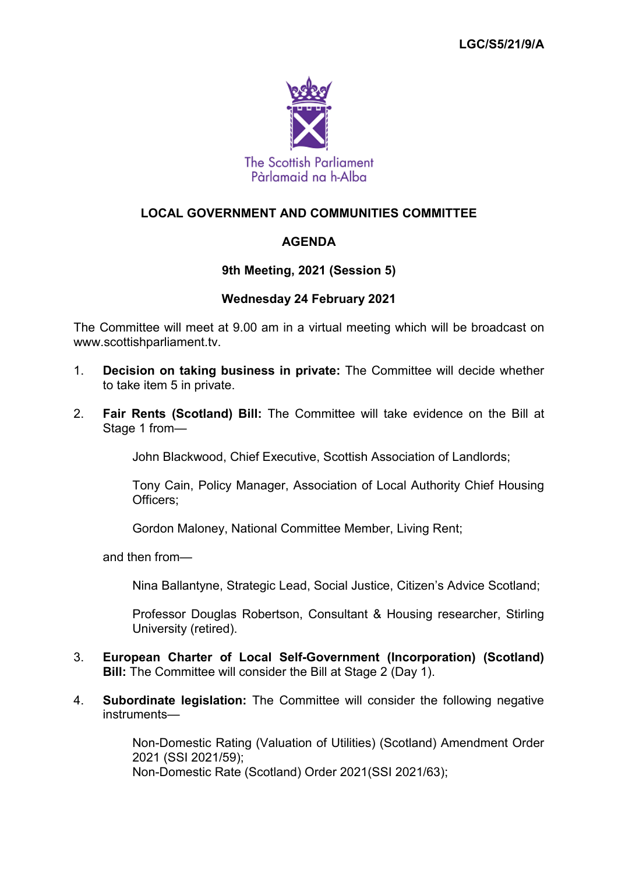

# **LOCAL GOVERNMENT AND COMMUNITIES COMMITTEE**

# **AGENDA**

## **9th Meeting, 2021 (Session 5)**

#### **Wednesday 24 February 2021**

The Committee will meet at 9.00 am in a virtual meeting which will be broadcast on www.scottishparliament.tv.

- 1. **Decision on taking business in private:** The Committee will decide whether to take item 5 in private.
- 2. **Fair Rents (Scotland) Bill:** The Committee will take evidence on the Bill at Stage 1 from—

John Blackwood, Chief Executive, Scottish Association of Landlords;

Tony Cain, Policy Manager, Association of Local Authority Chief Housing Officers;

Gordon Maloney, National Committee Member, Living Rent;

and then from—

Nina Ballantyne, Strategic Lead, Social Justice, Citizen's Advice Scotland;

Professor Douglas Robertson, Consultant & Housing researcher, Stirling University (retired).

- 3. **European Charter of Local Self-Government (Incorporation) (Scotland) Bill:** The Committee will consider the Bill at Stage 2 (Day 1).
- 4. **Subordinate legislation:** The Committee will consider the following negative instruments—

Non-Domestic Rating (Valuation of Utilities) (Scotland) Amendment Order 2021 (SSI 2021/59); Non-Domestic Rate (Scotland) Order 2021(SSI 2021/63);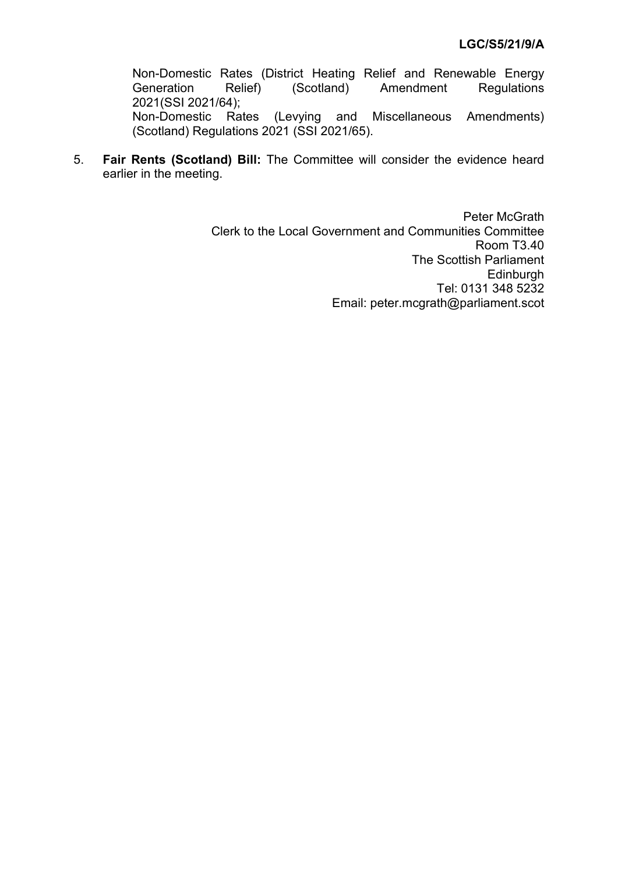Non-Domestic Rates (District Heating Relief and Renewable Energy Generation Relief) (Scotland) Amendment Regulations 2021(SSI 2021/64);<br>Non-Domestic Rates (Levying and Miscellaneous Amendments) (Scotland) Regulations 2021 (SSI 2021/65).

5. **Fair Rents (Scotland) Bill:** The Committee will consider the evidence heard earlier in the meeting.

> Peter McGrath Clerk to the Local Government and Communities Committee Room T3.40 The Scottish Parliament **Edinburgh** Tel: 0131 348 5232 Email: peter.mcgrath@parliament.scot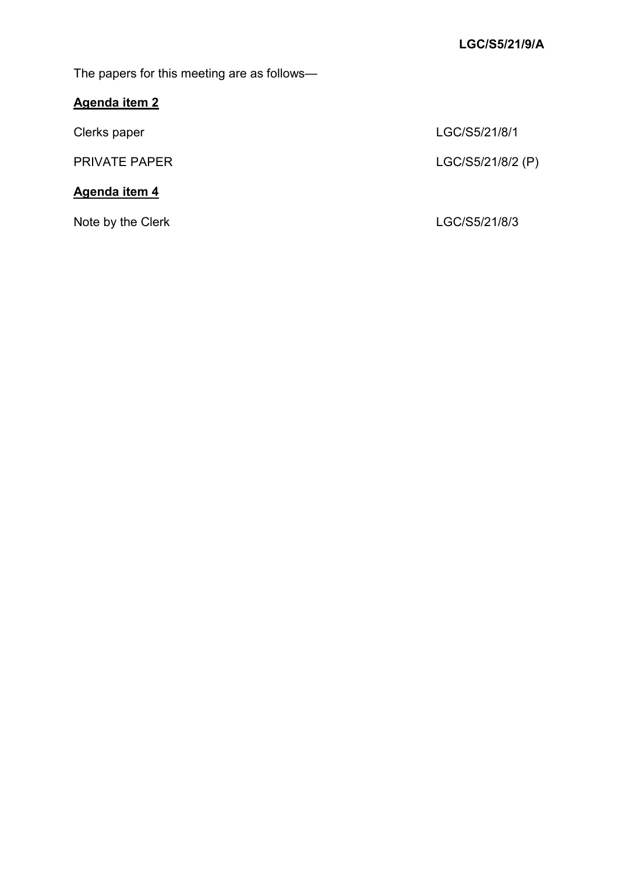The papers for this meeting are as follows—

# **Agenda item 2**

# **Agenda item 4**

Note by the Clerk **LGC/S5/21/8/3** 

Clerks paper LGC/S5/21/8/1

PRIVATE PAPER LGC/S5/21/8/2 (P)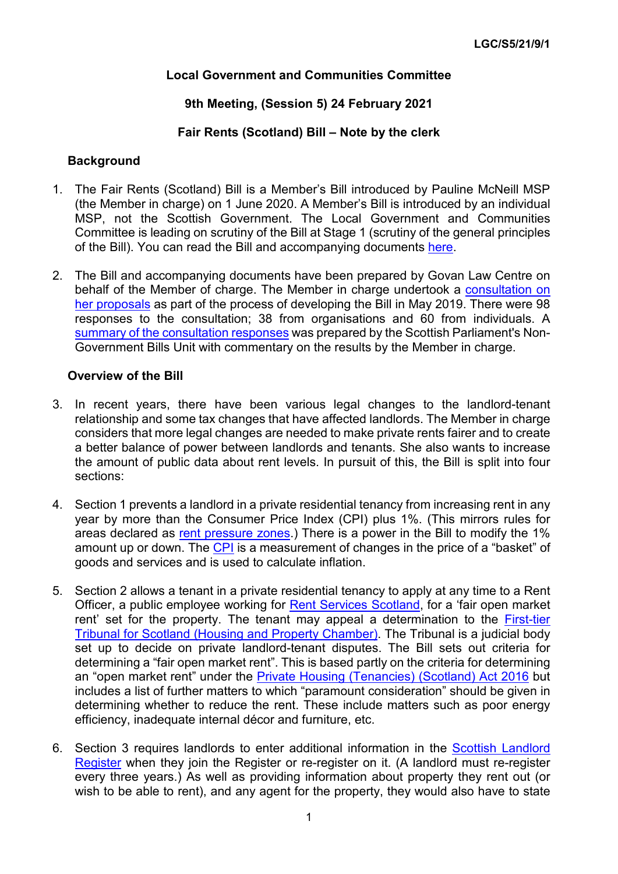## **Local Government and Communities Committee**

## **9th Meeting, (Session 5) 24 February 2021**

### **Fair Rents (Scotland) Bill – Note by the clerk**

#### **Background**

- 1. The Fair Rents (Scotland) Bill is a Member's Bill introduced by Pauline McNeill MSP (the Member in charge) on 1 June 2020. A Member's Bill is introduced by an individual MSP, not the Scottish Government. The Local Government and Communities Committee is leading on scrutiny of the Bill at Stage 1 (scrutiny of the general principles of the Bill). You can read the Bill and accompanying documents [here.](https://beta.parliament.scot/bills/fair-rents-scotland-bill)
- 2. The Bill and accompanying documents have been prepared by Govan Law Centre on behalf of the Member of charge. The Member in charge undertook a [consultation on](https://www.parliament.scot/S5MembersBills/20190513_Final_Version_(2).pdf)  [her proposals](https://www.parliament.scot/S5MembersBills/20190513_Final_Version_(2).pdf) as part of the process of developing the Bill in May 2019. There were 98 responses to the consultation; 38 from organisations and 60 from individuals. A [summary of the consultation responses](https://www.parliament.scot/S5MembersBills/Final_summary_with_commentary.pdf) was prepared by the Scottish Parliament's Non-Government Bills Unit with commentary on the results by the Member in charge.

#### **Overview of the Bill**

- 3. In recent years, there have been various legal changes to the landlord-tenant relationship and some tax changes that have affected landlords. The Member in charge considers that more legal changes are needed to make private rents fairer and to create a better balance of power between landlords and tenants. She also wants to increase the amount of public data about rent levels. In pursuit of this, the Bill is split into four sections:
- 4. Section 1 prevents a landlord in a private residential tenancy from increasing rent in any year by more than the Consumer Price Index (CPI) plus 1%. (This mirrors rules for areas declared as [rent pressure zones](https://www.gov.scot/policies/private-renting/rent-pressure-zones/).) There is a power in the Bill to modify the 1% amount up or down. The [CPI](https://www.ons.gov.uk/economy/inflationandpriceindices/articles/ukconsumerpriceinflationbasketofgoodsandservices/2020) is a measurement of changes in the price of a "basket" of goods and services and is used to calculate inflation.
- 5. Section 2 allows a tenant in a private residential tenancy to apply at any time to a Rent Officer, a public employee working for [Rent Services Scotland,](https://www.gov.scot/publications/about-rent-service-scotland/) for a 'fair open market rent' set for the property. The tenant may appeal a determination to the [First-tier](https://www.housingandpropertychamber.scot/)  [Tribunal for Scotland \(Housing and Property Chamber\).](https://www.housingandpropertychamber.scot/) The Tribunal is a judicial body set up to decide on private landlord-tenant disputes. The Bill sets out criteria for determining a "fair open market rent". This is based partly on the criteria for determining an "open market rent" under the [Private Housing \(Tenancies\) \(Scotland\) Act 2016](https://www.legislation.gov.uk/asp/2016/19/contents/enacted) but includes a list of further matters to which "paramount consideration" should be given in determining whether to reduce the rent. These include matters such as poor energy efficiency, inadequate internal décor and furniture, etc.
- 6. Section 3 requires landlords to enter additional information in the [Scottish Landlord](https://www.landlordregistrationscotland.gov.uk/)  [Register](https://www.landlordregistrationscotland.gov.uk/) when they join the Register or re-register on it. (A landlord must re-register every three years.) As well as providing information about property they rent out (or wish to be able to rent), and any agent for the property, they would also have to state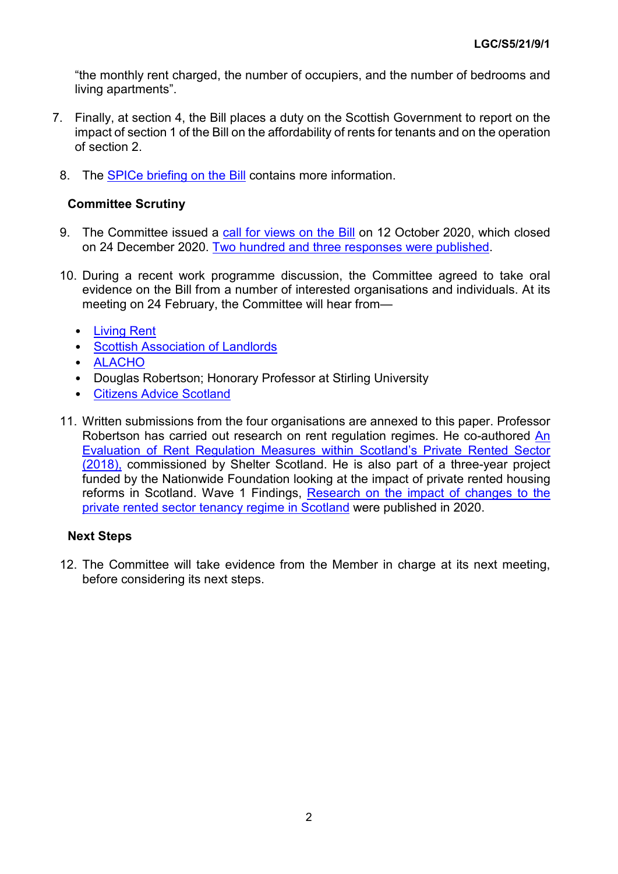"the monthly rent charged, the number of occupiers, and the number of bedrooms and living apartments".

- 7. Finally, at section 4, the Bill places a duty on the Scottish Government to report on the impact of section 1 of the Bill on the affordability of rents for tenants and on the operation of section 2.
- 8. The [SPICe briefing on the Bill](https://digitalpublications.parliament.scot/ResearchBriefings/Report/2021/2/18/6d4bbb5c-67f4-4f27-83e7-8992d8656d28) contains more information.

## **Committee Scrutiny**

- 9. The Committee issued a [call for views on the Bill](https://yourviews.parliament.scot/lgc/fair-rents-bill/) on 12 October 2020, which closed on 24 December 2020. [Two hundred and three responses were published.](https://yourviews.parliament.scot/lgc/fair-rents-bill/consultation/published_select_respondent)
- 10. During a recent work programme discussion, the Committee agreed to take oral evidence on the Bill from a number of interested organisations and individuals. At its meeting on 24 February, the Committee will hear from—
	- [Living Rent](https://yourviews.parliament.scot/lgc/fair-rents-bill/consultation/view_respondent?show_all_questions=0&sort=submitted&order=ascending&_q__text=living+rent&uuId=629055969)
	- [Scottish Association of Landlords](https://yourviews.parliament.scot/lgc/fair-rents-bill/consultation/view_respondent?show_all_questions=0&sort=submitted&order=ascending&_q__text=scottish+association+of+landlords&uuId=408942889)
	- [ALACHO](https://yourviews.parliament.scot/lgc/fair-rents-bill/consultation/view_respondent?show_all_questions=0&sort=submitted&order=ascending&_q__text=association+of+local+authority+chief+&uuId=739655515)
	- Douglas Robertson; Honorary Professor at Stirling University
	- [Citizens Advice Scotland](https://yourviews.parliament.scot/lgc/fair-rents-bill/consultation/view_respondent?show_all_questions=0&sort=submitted&order=ascending&_q__text=Citizens+Advice+Scotland&uuId=222794424)
- 11. Written submissions from the four organisations are annexed to this paper. Professor Robertson has carried out research on rent regulation regimes. He co-authored An [Evaluation of Rent Regulation Measures within Scotland's Private Rented Sector](https://scotland.shelter.org.uk/__data/assets/pdf_file/0011/1527590/Shelter_RentReport_May18_screen3_1.pdf/_nocache)  [\(2018\),](https://scotland.shelter.org.uk/__data/assets/pdf_file/0011/1527590/Shelter_RentReport_May18_screen3_1.pdf/_nocache) commissioned by Shelter Scotland. He is also part of a three-year project funded by the Nationwide Foundation looking at the impact of private rented housing reforms in Scotland. Wave 1 Findings, [Research on the impact of changes to the](http://www.nationwidefoundation.org.uk/wp-content/uploads/2020/11/Rent-Better-Wave-1-Summary_print.pdf)  [private rented sector tenancy regime in Scotland](http://www.nationwidefoundation.org.uk/wp-content/uploads/2020/11/Rent-Better-Wave-1-Summary_print.pdf) were published in 2020.

#### **Next Steps**

12. The Committee will take evidence from the Member in charge at its next meeting, before considering its next steps.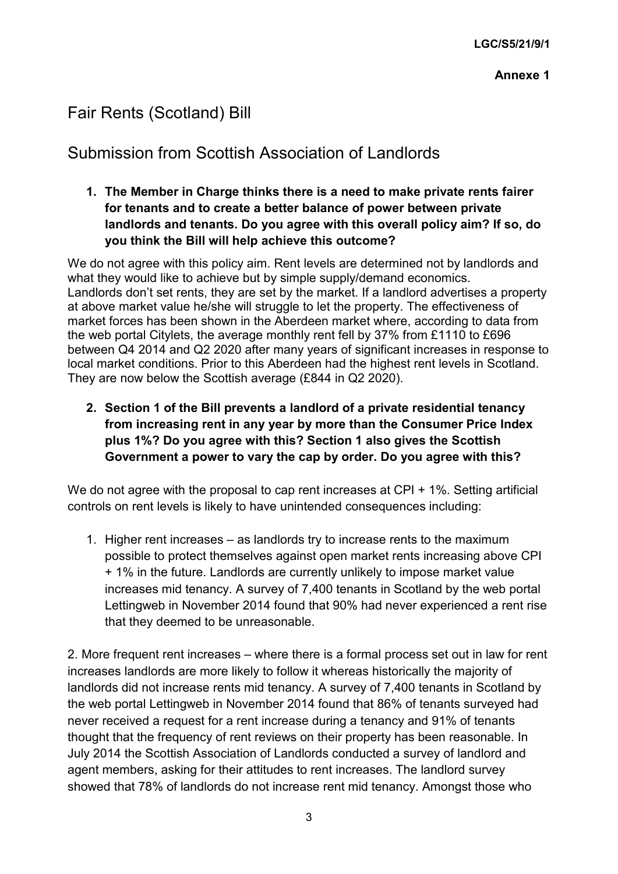# Fair Rents (Scotland) Bill

# Submission from Scottish Association of Landlords

**1. The Member in Charge thinks there is a need to make private rents fairer for tenants and to create a better balance of power between private landlords and tenants. Do you agree with this overall policy aim? If so, do you think the Bill will help achieve this outcome?**

We do not agree with this policy aim. Rent levels are determined not by landlords and what they would like to achieve but by simple supply/demand economics. Landlords don't set rents, they are set by the market. If a landlord advertises a property at above market value he/she will struggle to let the property. The effectiveness of market forces has been shown in the Aberdeen market where, according to data from the web portal Citylets, the average monthly rent fell by 37% from £1110 to £696 between Q4 2014 and Q2 2020 after many years of significant increases in response to local market conditions. Prior to this Aberdeen had the highest rent levels in Scotland. They are now below the Scottish average (£844 in Q2 2020).

**2. Section 1 of the Bill prevents a landlord of a private residential tenancy from increasing rent in any year by more than the Consumer Price Index plus 1%? Do you agree with this? Section 1 also gives the Scottish Government a power to vary the cap by order. Do you agree with this?**

We do not agree with the proposal to cap rent increases at CPI + 1%. Setting artificial controls on rent levels is likely to have unintended consequences including:

1. Higher rent increases – as landlords try to increase rents to the maximum possible to protect themselves against open market rents increasing above CPI + 1% in the future. Landlords are currently unlikely to impose market value increases mid tenancy. A survey of 7,400 tenants in Scotland by the web portal Lettingweb in November 2014 found that 90% had never experienced a rent rise that they deemed to be unreasonable.

2. More frequent rent increases – where there is a formal process set out in law for rent increases landlords are more likely to follow it whereas historically the majority of landlords did not increase rents mid tenancy. A survey of 7,400 tenants in Scotland by the web portal Lettingweb in November 2014 found that 86% of tenants surveyed had never received a request for a rent increase during a tenancy and 91% of tenants thought that the frequency of rent reviews on their property has been reasonable. In July 2014 the Scottish Association of Landlords conducted a survey of landlord and agent members, asking for their attitudes to rent increases. The landlord survey showed that 78% of landlords do not increase rent mid tenancy. Amongst those who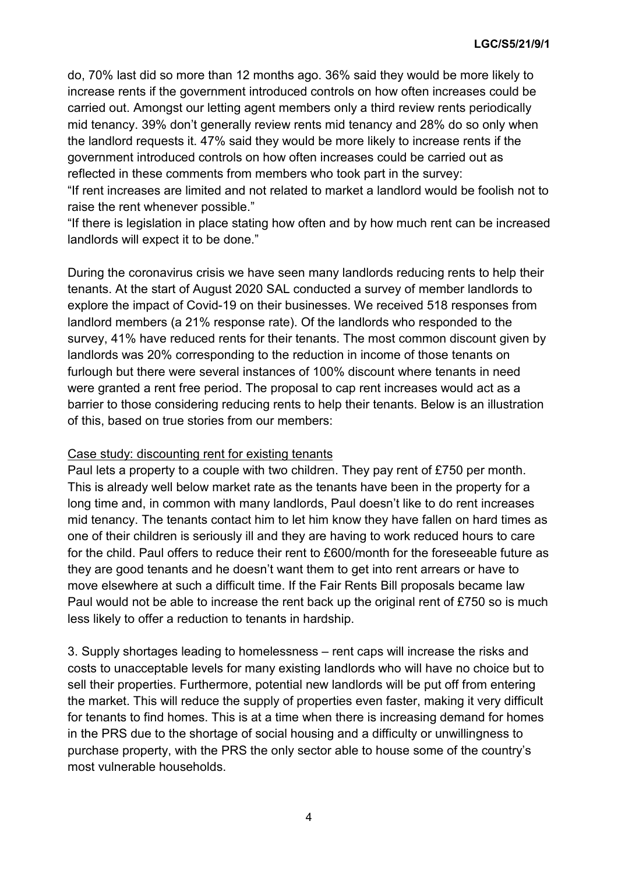do, 70% last did so more than 12 months ago. 36% said they would be more likely to increase rents if the government introduced controls on how often increases could be carried out. Amongst our letting agent members only a third review rents periodically mid tenancy. 39% don't generally review rents mid tenancy and 28% do so only when the landlord requests it. 47% said they would be more likely to increase rents if the government introduced controls on how often increases could be carried out as reflected in these comments from members who took part in the survey:

"If rent increases are limited and not related to market a landlord would be foolish not to raise the rent whenever possible."

"If there is legislation in place stating how often and by how much rent can be increased landlords will expect it to be done."

During the coronavirus crisis we have seen many landlords reducing rents to help their tenants. At the start of August 2020 SAL conducted a survey of member landlords to explore the impact of Covid-19 on their businesses. We received 518 responses from landlord members (a 21% response rate). Of the landlords who responded to the survey, 41% have reduced rents for their tenants. The most common discount given by landlords was 20% corresponding to the reduction in income of those tenants on furlough but there were several instances of 100% discount where tenants in need were granted a rent free period. The proposal to cap rent increases would act as a barrier to those considering reducing rents to help their tenants. Below is an illustration of this, based on true stories from our members:

#### Case study: discounting rent for existing tenants

Paul lets a property to a couple with two children. They pay rent of £750 per month. This is already well below market rate as the tenants have been in the property for a long time and, in common with many landlords, Paul doesn't like to do rent increases mid tenancy. The tenants contact him to let him know they have fallen on hard times as one of their children is seriously ill and they are having to work reduced hours to care for the child. Paul offers to reduce their rent to £600/month for the foreseeable future as they are good tenants and he doesn't want them to get into rent arrears or have to move elsewhere at such a difficult time. If the Fair Rents Bill proposals became law Paul would not be able to increase the rent back up the original rent of £750 so is much less likely to offer a reduction to tenants in hardship.

3. Supply shortages leading to homelessness – rent caps will increase the risks and costs to unacceptable levels for many existing landlords who will have no choice but to sell their properties. Furthermore, potential new landlords will be put off from entering the market. This will reduce the supply of properties even faster, making it very difficult for tenants to find homes. This is at a time when there is increasing demand for homes in the PRS due to the shortage of social housing and a difficulty or unwillingness to purchase property, with the PRS the only sector able to house some of the country's most vulnerable households.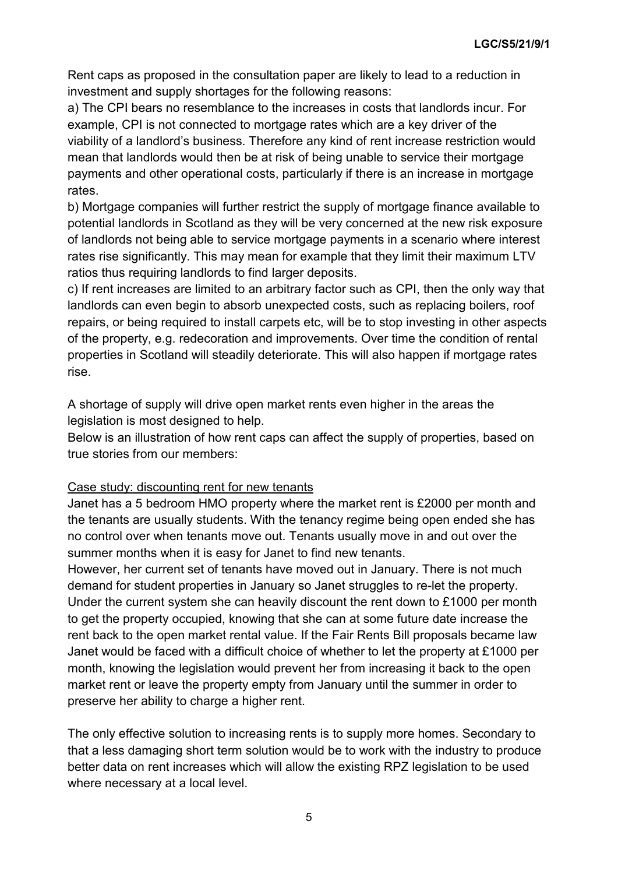Rent caps as proposed in the consultation paper are likely to lead to a reduction in investment and supply shortages for the following reasons:

a) The CPI bears no resemblance to the increases in costs that landlords incur. For example, CPI is not connected to mortgage rates which are a key driver of the viability of a landlord's business. Therefore any kind of rent increase restriction would mean that landlords would then be at risk of being unable to service their mortgage payments and other operational costs, particularly if there is an increase in mortgage rates.

b) Mortgage companies will further restrict the supply of mortgage finance available to potential landlords in Scotland as they will be very concerned at the new risk exposure of landlords not being able to service mortgage payments in a scenario where interest rates rise significantly. This may mean for example that they limit their maximum LTV ratios thus requiring landlords to find larger deposits.

c) If rent increases are limited to an arbitrary factor such as CPI, then the only way that landlords can even begin to absorb unexpected costs, such as replacing boilers, roof repairs, or being required to install carpets etc, will be to stop investing in other aspects of the property, e.g. redecoration and improvements. Over time the condition of rental properties in Scotland will steadily deteriorate. This will also happen if mortgage rates rise.

A shortage of supply will drive open market rents even higher in the areas the legislation is most designed to help.

Below is an illustration of how rent caps can affect the supply of properties, based on true stories from our members:

# Case study: discounting rent for new tenants

Janet has a 5 bedroom HMO property where the market rent is £2000 per month and the tenants are usually students. With the tenancy regime being open ended she has no control over when tenants move out. Tenants usually move in and out over the summer months when it is easy for Janet to find new tenants.

However, her current set of tenants have moved out in January. There is not much demand for student properties in January so Janet struggles to re-let the property. Under the current system she can heavily discount the rent down to £1000 per month to get the property occupied, knowing that she can at some future date increase the rent back to the open market rental value. If the Fair Rents Bill proposals became law Janet would be faced with a difficult choice of whether to let the property at £1000 per month, knowing the legislation would prevent her from increasing it back to the open market rent or leave the property empty from January until the summer in order to preserve her ability to charge a higher rent.

The only effective solution to increasing rents is to supply more homes. Secondary to that a less damaging short term solution would be to work with the industry to produce better data on rent increases which will allow the existing RPZ legislation to be used where necessary at a local level.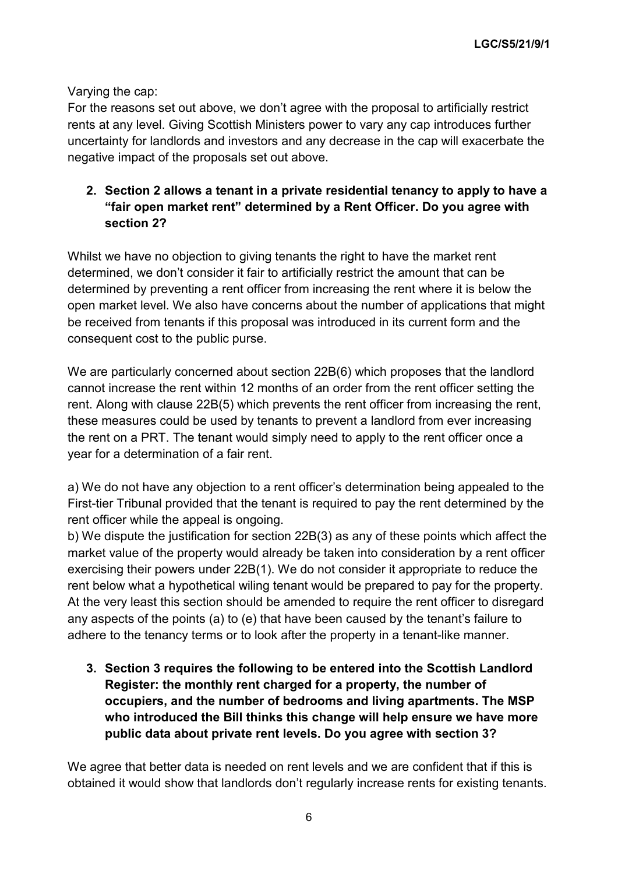Varying the cap:

For the reasons set out above, we don't agree with the proposal to artificially restrict rents at any level. Giving Scottish Ministers power to vary any cap introduces further uncertainty for landlords and investors and any decrease in the cap will exacerbate the negative impact of the proposals set out above.

# **2. Section 2 allows a tenant in a private residential tenancy to apply to have a "fair open market rent" determined by a Rent Officer. Do you agree with section 2?**

Whilst we have no objection to giving tenants the right to have the market rent determined, we don't consider it fair to artificially restrict the amount that can be determined by preventing a rent officer from increasing the rent where it is below the open market level. We also have concerns about the number of applications that might be received from tenants if this proposal was introduced in its current form and the consequent cost to the public purse.

We are particularly concerned about section 22B(6) which proposes that the landlord cannot increase the rent within 12 months of an order from the rent officer setting the rent. Along with clause 22B(5) which prevents the rent officer from increasing the rent, these measures could be used by tenants to prevent a landlord from ever increasing the rent on a PRT. The tenant would simply need to apply to the rent officer once a year for a determination of a fair rent.

a) We do not have any objection to a rent officer's determination being appealed to the First-tier Tribunal provided that the tenant is required to pay the rent determined by the rent officer while the appeal is ongoing.

b) We dispute the justification for section 22B(3) as any of these points which affect the market value of the property would already be taken into consideration by a rent officer exercising their powers under 22B(1). We do not consider it appropriate to reduce the rent below what a hypothetical wiling tenant would be prepared to pay for the property. At the very least this section should be amended to require the rent officer to disregard any aspects of the points (a) to (e) that have been caused by the tenant's failure to adhere to the tenancy terms or to look after the property in a tenant-like manner.

**3. Section 3 requires the following to be entered into the Scottish Landlord Register: the monthly rent charged for a property, the number of occupiers, and the number of bedrooms and living apartments. The MSP who introduced the Bill thinks this change will help ensure we have more public data about private rent levels. Do you agree with section 3?**

We agree that better data is needed on rent levels and we are confident that if this is obtained it would show that landlords don't regularly increase rents for existing tenants.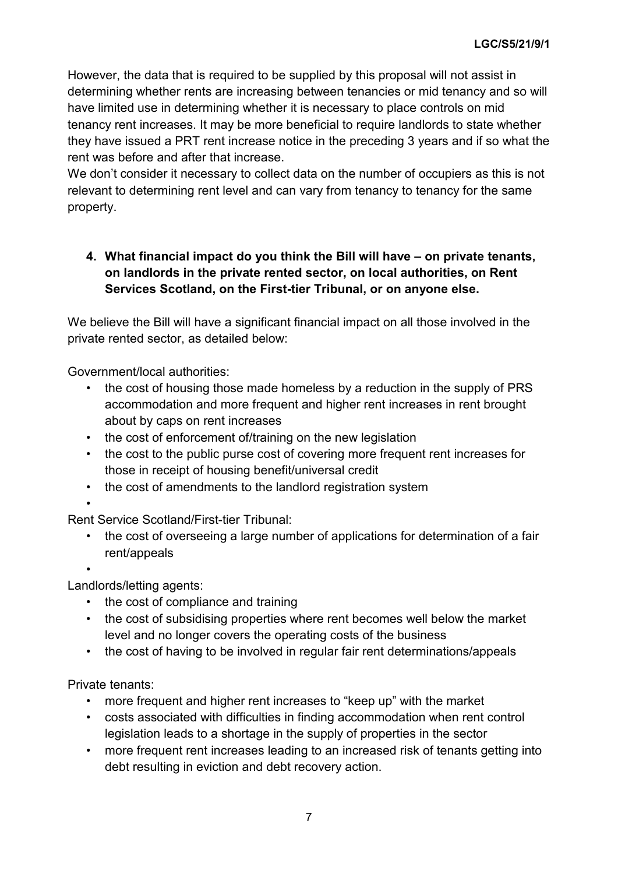However, the data that is required to be supplied by this proposal will not assist in determining whether rents are increasing between tenancies or mid tenancy and so will have limited use in determining whether it is necessary to place controls on mid tenancy rent increases. It may be more beneficial to require landlords to state whether they have issued a PRT rent increase notice in the preceding 3 years and if so what the rent was before and after that increase.

We don't consider it necessary to collect data on the number of occupiers as this is not relevant to determining rent level and can vary from tenancy to tenancy for the same property.

# **4. What financial impact do you think the Bill will have – on private tenants, on landlords in the private rented sector, on local authorities, on Rent Services Scotland, on the First-tier Tribunal, or on anyone else.**

We believe the Bill will have a significant financial impact on all those involved in the private rented sector, as detailed below:

Government/local authorities:

- the cost of housing those made homeless by a reduction in the supply of PRS accommodation and more frequent and higher rent increases in rent brought about by caps on rent increases
- the cost of enforcement of/training on the new legislation
- the cost to the public purse cost of covering more frequent rent increases for those in receipt of housing benefit/universal credit
- the cost of amendments to the landlord registration system

•

Rent Service Scotland/First-tier Tribunal:

the cost of overseeing a large number of applications for determination of a fair rent/appeals

•

Landlords/letting agents:

- the cost of compliance and training
- the cost of subsidising properties where rent becomes well below the market level and no longer covers the operating costs of the business
- the cost of having to be involved in regular fair rent determinations/appeals

Private tenants:

- more frequent and higher rent increases to "keep up" with the market
- costs associated with difficulties in finding accommodation when rent control legislation leads to a shortage in the supply of properties in the sector
- more frequent rent increases leading to an increased risk of tenants getting into debt resulting in eviction and debt recovery action.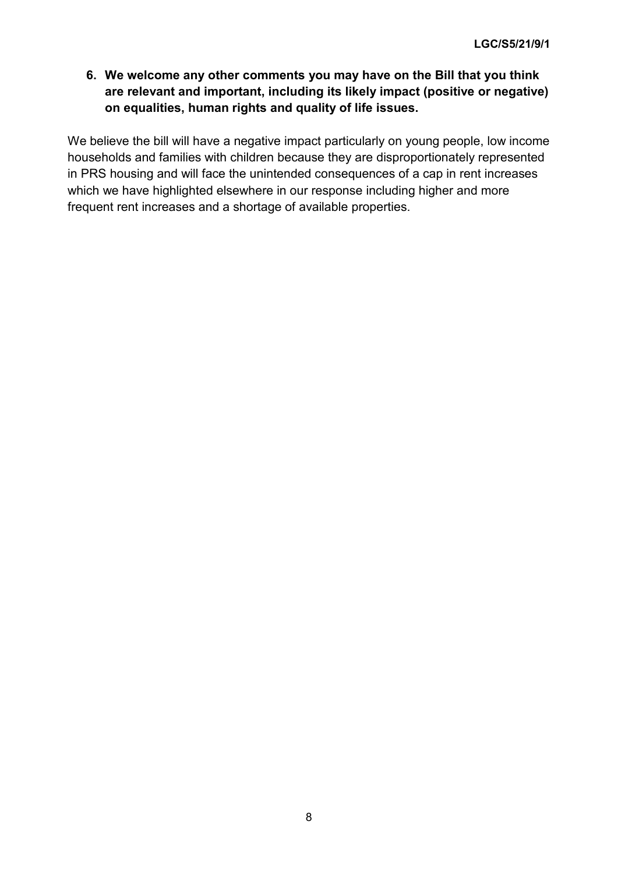**6. We welcome any other comments you may have on the Bill that you think are relevant and important, including its likely impact (positive or negative) on equalities, human rights and quality of life issues.**

We believe the bill will have a negative impact particularly on young people, low income households and families with children because they are disproportionately represented in PRS housing and will face the unintended consequences of a cap in rent increases which we have highlighted elsewhere in our response including higher and more frequent rent increases and a shortage of available properties.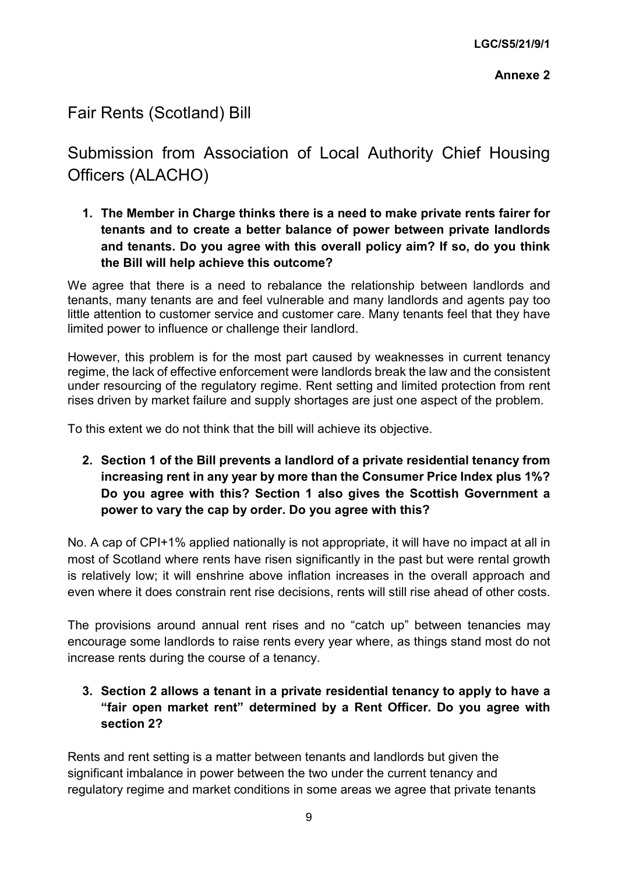# Fair Rents (Scotland) Bill

Submission from Association of Local Authority Chief Housing Officers (ALACHO)

**1. The Member in Charge thinks there is a need to make private rents fairer for tenants and to create a better balance of power between private landlords and tenants. Do you agree with this overall policy aim? If so, do you think the Bill will help achieve this outcome?**

We agree that there is a need to rebalance the relationship between landlords and tenants, many tenants are and feel vulnerable and many landlords and agents pay too little attention to customer service and customer care. Many tenants feel that they have limited power to influence or challenge their landlord.

However, this problem is for the most part caused by weaknesses in current tenancy regime, the lack of effective enforcement were landlords break the law and the consistent under resourcing of the regulatory regime. Rent setting and limited protection from rent rises driven by market failure and supply shortages are just one aspect of the problem.

To this extent we do not think that the bill will achieve its objective.

**2. Section 1 of the Bill prevents a landlord of a private residential tenancy from increasing rent in any year by more than the Consumer Price Index plus 1%? Do you agree with this? Section 1 also gives the Scottish Government a power to vary the cap by order. Do you agree with this?**

No. A cap of CPI+1% applied nationally is not appropriate, it will have no impact at all in most of Scotland where rents have risen significantly in the past but were rental growth is relatively low; it will enshrine above inflation increases in the overall approach and even where it does constrain rent rise decisions, rents will still rise ahead of other costs.

The provisions around annual rent rises and no "catch up" between tenancies may encourage some landlords to raise rents every year where, as things stand most do not increase rents during the course of a tenancy.

**3. Section 2 allows a tenant in a private residential tenancy to apply to have a "fair open market rent" determined by a Rent Officer. Do you agree with section 2?**

Rents and rent setting is a matter between tenants and landlords but given the significant imbalance in power between the two under the current tenancy and regulatory regime and market conditions in some areas we agree that private tenants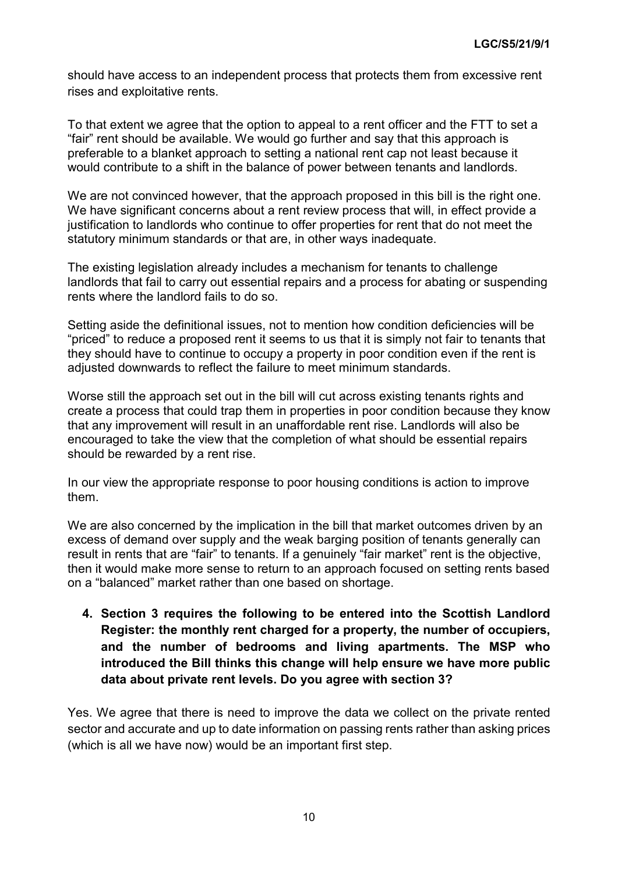should have access to an independent process that protects them from excessive rent rises and exploitative rents.

To that extent we agree that the option to appeal to a rent officer and the FTT to set a "fair" rent should be available. We would go further and say that this approach is preferable to a blanket approach to setting a national rent cap not least because it would contribute to a shift in the balance of power between tenants and landlords.

We are not convinced however, that the approach proposed in this bill is the right one. We have significant concerns about a rent review process that will, in effect provide a justification to landlords who continue to offer properties for rent that do not meet the statutory minimum standards or that are, in other ways inadequate.

The existing legislation already includes a mechanism for tenants to challenge landlords that fail to carry out essential repairs and a process for abating or suspending rents where the landlord fails to do so.

Setting aside the definitional issues, not to mention how condition deficiencies will be "priced" to reduce a proposed rent it seems to us that it is simply not fair to tenants that they should have to continue to occupy a property in poor condition even if the rent is adjusted downwards to reflect the failure to meet minimum standards.

Worse still the approach set out in the bill will cut across existing tenants rights and create a process that could trap them in properties in poor condition because they know that any improvement will result in an unaffordable rent rise. Landlords will also be encouraged to take the view that the completion of what should be essential repairs should be rewarded by a rent rise.

In our view the appropriate response to poor housing conditions is action to improve them.

We are also concerned by the implication in the bill that market outcomes driven by an excess of demand over supply and the weak barging position of tenants generally can result in rents that are "fair" to tenants. If a genuinely "fair market" rent is the objective, then it would make more sense to return to an approach focused on setting rents based on a "balanced" market rather than one based on shortage.

**4. Section 3 requires the following to be entered into the Scottish Landlord Register: the monthly rent charged for a property, the number of occupiers, and the number of bedrooms and living apartments. The MSP who introduced the Bill thinks this change will help ensure we have more public data about private rent levels. Do you agree with section 3?**

Yes. We agree that there is need to improve the data we collect on the private rented sector and accurate and up to date information on passing rents rather than asking prices (which is all we have now) would be an important first step.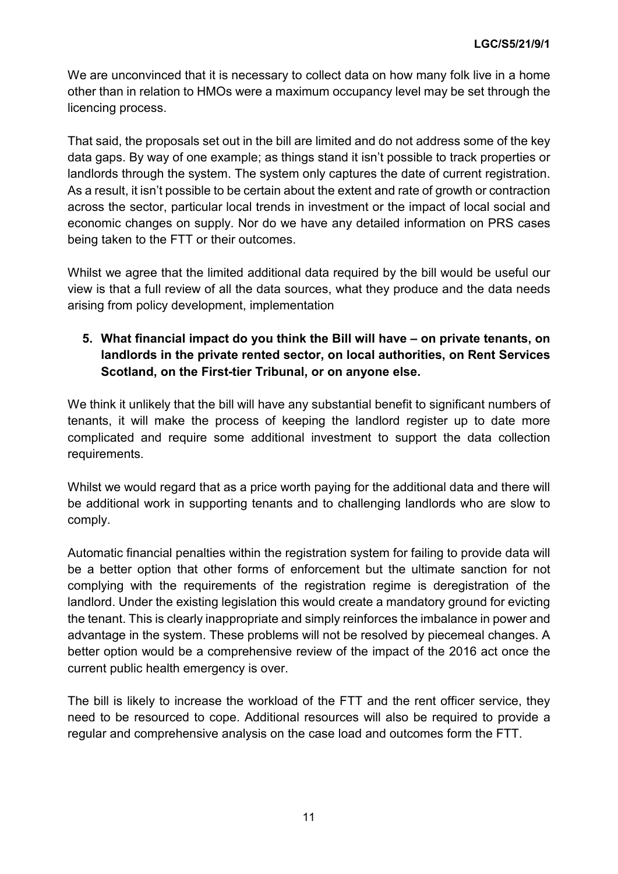We are unconvinced that it is necessary to collect data on how many folk live in a home other than in relation to HMOs were a maximum occupancy level may be set through the licencing process.

That said, the proposals set out in the bill are limited and do not address some of the key data gaps. By way of one example; as things stand it isn't possible to track properties or landlords through the system. The system only captures the date of current registration. As a result, it isn't possible to be certain about the extent and rate of growth or contraction across the sector, particular local trends in investment or the impact of local social and economic changes on supply. Nor do we have any detailed information on PRS cases being taken to the FTT or their outcomes.

Whilst we agree that the limited additional data required by the bill would be useful our view is that a full review of all the data sources, what they produce and the data needs arising from policy development, implementation

# **5. What financial impact do you think the Bill will have – on private tenants, on landlords in the private rented sector, on local authorities, on Rent Services Scotland, on the First-tier Tribunal, or on anyone else.**

We think it unlikely that the bill will have any substantial benefit to significant numbers of tenants, it will make the process of keeping the landlord register up to date more complicated and require some additional investment to support the data collection requirements.

Whilst we would regard that as a price worth paying for the additional data and there will be additional work in supporting tenants and to challenging landlords who are slow to comply.

Automatic financial penalties within the registration system for failing to provide data will be a better option that other forms of enforcement but the ultimate sanction for not complying with the requirements of the registration regime is deregistration of the landlord. Under the existing legislation this would create a mandatory ground for evicting the tenant. This is clearly inappropriate and simply reinforces the imbalance in power and advantage in the system. These problems will not be resolved by piecemeal changes. A better option would be a comprehensive review of the impact of the 2016 act once the current public health emergency is over.

The bill is likely to increase the workload of the FTT and the rent officer service, they need to be resourced to cope. Additional resources will also be required to provide a regular and comprehensive analysis on the case load and outcomes form the FTT.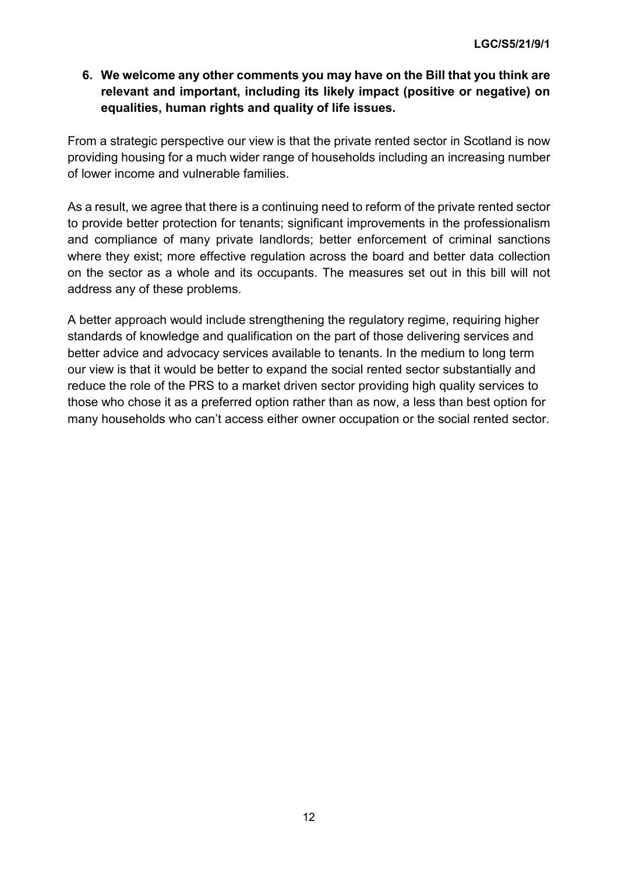# **6. We welcome any other comments you may have on the Bill that you think are relevant and important, including its likely impact (positive or negative) on equalities, human rights and quality of life issues.**

From a strategic perspective our view is that the private rented sector in Scotland is now providing housing for a much wider range of households including an increasing number of lower income and vulnerable families.

As a result, we agree that there is a continuing need to reform of the private rented sector to provide better protection for tenants; significant improvements in the professionalism and compliance of many private landlords; better enforcement of criminal sanctions where they exist; more effective regulation across the board and better data collection on the sector as a whole and its occupants. The measures set out in this bill will not address any of these problems.

A better approach would include strengthening the regulatory regime, requiring higher standards of knowledge and qualification on the part of those delivering services and better advice and advocacy services available to tenants. In the medium to long term our view is that it would be better to expand the social rented sector substantially and reduce the role of the PRS to a market driven sector providing high quality services to those who chose it as a preferred option rather than as now, a less than best option for many households who can't access either owner occupation or the social rented sector.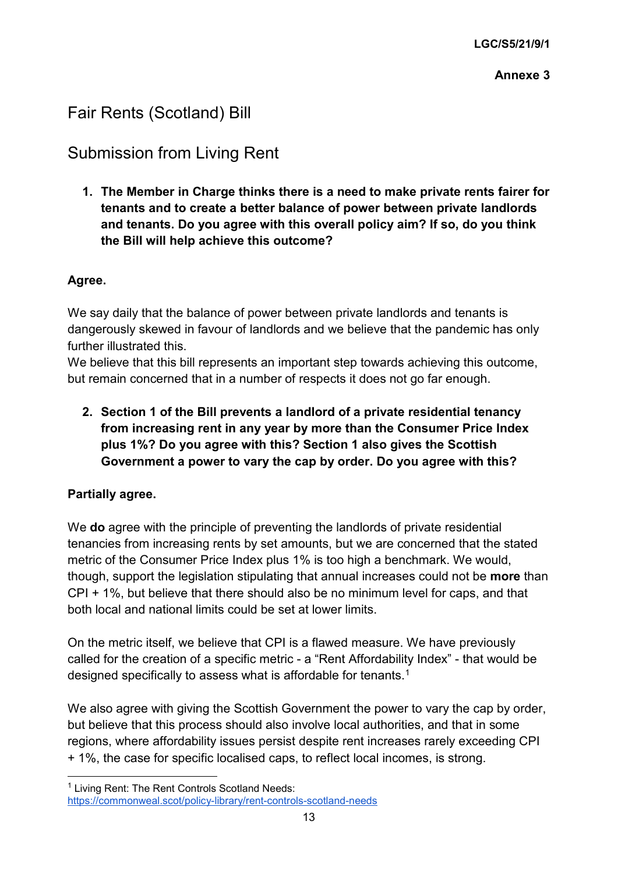# Fair Rents (Scotland) Bill

# Submission from Living Rent

**1. The Member in Charge thinks there is a need to make private rents fairer for tenants and to create a better balance of power between private landlords and tenants. Do you agree with this overall policy aim? If so, do you think the Bill will help achieve this outcome?**

# **Agree.**

We say daily that the balance of power between private landlords and tenants is dangerously skewed in favour of landlords and we believe that the pandemic has only further illustrated this.

We believe that this bill represents an important step towards achieving this outcome, but remain concerned that in a number of respects it does not go far enough.

**2. Section 1 of the Bill prevents a landlord of a private residential tenancy from increasing rent in any year by more than the Consumer Price Index plus 1%? Do you agree with this? Section 1 also gives the Scottish Government a power to vary the cap by order. Do you agree with this?**

# **Partially agree.**

We **do** agree with the principle of preventing the landlords of private residential tenancies from increasing rents by set amounts, but we are concerned that the stated metric of the Consumer Price Index plus 1% is too high a benchmark. We would, though, support the legislation stipulating that annual increases could not be **more** than CPI + 1%, but believe that there should also be no minimum level for caps, and that both local and national limits could be set at lower limits.

On the metric itself, we believe that CPI is a flawed measure. We have previously called for the creation of a specific metric - a "Rent Affordability Index" - that would be designed specifically to assess what is affordable for tenants.<sup>1</sup>

We also agree with giving the Scottish Government the power to vary the cap by order, but believe that this process should also involve local authorities, and that in some regions, where affordability issues persist despite rent increases rarely exceeding CPI + 1%, the case for specific localised caps, to reflect local incomes, is strong.

<span id="page-15-0"></span><sup>&</sup>lt;sup>1</sup> Living Rent: The Rent Controls Scotland Needs:

<https://commonweal.scot/policy-library/rent-controls-scotland-needs>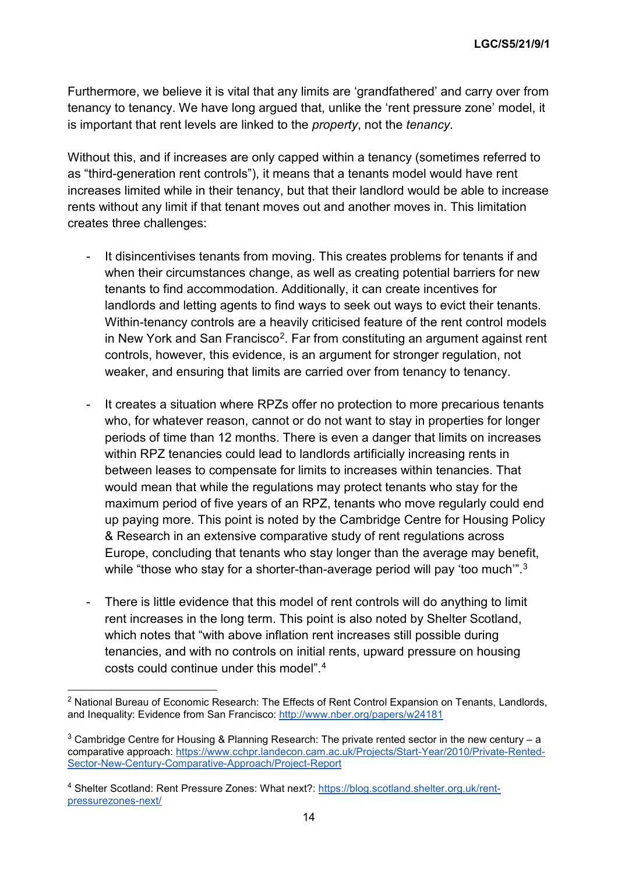Furthermore, we believe it is vital that any limits are 'grandfathered' and carry over from tenancy to tenancy. We have long argued that, unlike the 'rent pressure zone' model, it is important that rent levels are linked to the *property*, not the *tenancy*.

Without this, and if increases are only capped within a tenancy (sometimes referred to as "third-generation rent controls"), it means that a tenants model would have rent increases limited while in their tenancy, but that their landlord would be able to increase rents without any limit if that tenant moves out and another moves in. This limitation creates three challenges:

- It disincentivises tenants from moving. This creates problems for tenants if and when their circumstances change, as well as creating potential barriers for new tenants to find accommodation. Additionally, it can create incentives for landlords and letting agents to find ways to seek out ways to evict their tenants. Within-tenancy controls are a heavily criticised feature of the rent control models in New York and San Francisco<sup>[2](#page-16-0)</sup>. Far from constituting an argument against rent controls, however, this evidence, is an argument for stronger regulation, not weaker, and ensuring that limits are carried over from tenancy to tenancy.
- It creates a situation where RPZs offer no protection to more precarious tenants who, for whatever reason, cannot or do not want to stay in properties for longer periods of time than 12 months. There is even a danger that limits on increases within RPZ tenancies could lead to landlords artificially increasing rents in between leases to compensate for limits to increases within tenancies. That would mean that while the regulations may protect tenants who stay for the maximum period of five years of an RPZ, tenants who move regularly could end up paying more. This point is noted by the Cambridge Centre for Housing Policy & Research in an extensive comparative study of rent regulations across Europe, concluding that tenants who stay longer than the average may benefit, while "those who stay for a shorter-than-average period will pay 'too much'".<sup>[3](#page-16-1)</sup>
- There is little evidence that this model of rent controls will do anything to limit rent increases in the long term. This point is also noted by Shelter Scotland, which notes that "with above inflation rent increases still possible during tenancies, and with no controls on initial rents, upward pressure on housing costs could continue under this model".<sup>[4](#page-16-2)</sup>

<span id="page-16-0"></span> $<sup>2</sup>$  National Bureau of Economic Research: The Effects of Rent Control Expansion on Tenants, Landlords,</sup> and Inequality: Evidence from San Francisco:<http://www.nber.org/papers/w24181>

<span id="page-16-1"></span> $3$  Cambridge Centre for Housing & Planning Research: The private rented sector in the new century – a comparative approach:<https://www.cchpr.landecon.cam.ac.uk/Projects/Start-Year/2010/Private-Rented->[Sector-New-Century-Comparative-Approach/Project-Report](https://www.cchpr.landecon.cam.ac.uk/Projects/Start-Year/2010/Private-Rented-)

<span id="page-16-2"></span><sup>&</sup>lt;sup>4</sup> Shelter Scotland: Rent Pressure Zones: What next?: [https://blog.scotland.shelter.org.uk/rent](https://blog.scotland.shelter.org.uk/rent-pressurezones-next/)[pressurezones-next/](https://blog.scotland.shelter.org.uk/rent-pressurezones-next/)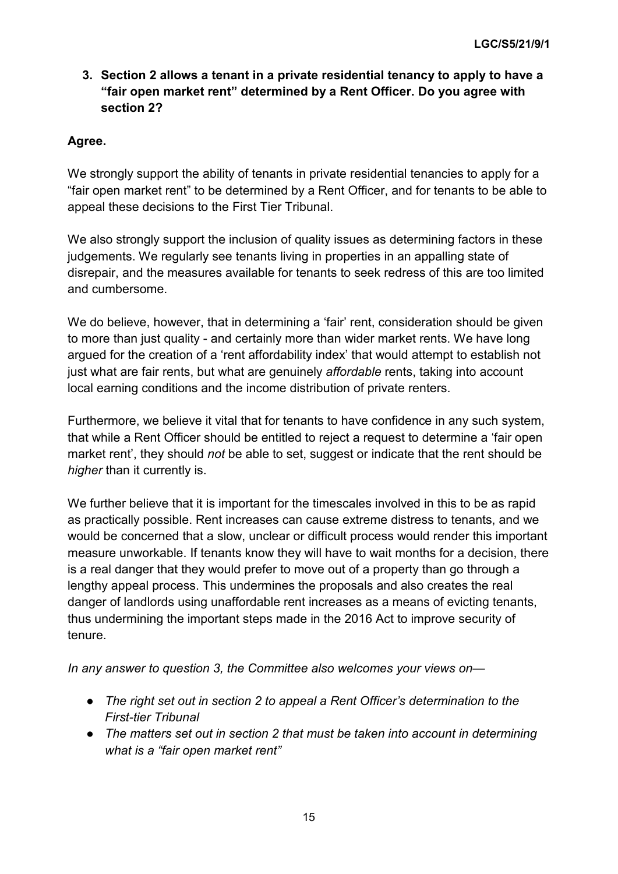# **3. Section 2 allows a tenant in a private residential tenancy to apply to have a "fair open market rent" determined by a Rent Officer. Do you agree with section 2?**

# **Agree.**

We strongly support the ability of tenants in private residential tenancies to apply for a "fair open market rent" to be determined by a Rent Officer, and for tenants to be able to appeal these decisions to the First Tier Tribunal.

We also strongly support the inclusion of quality issues as determining factors in these judgements. We regularly see tenants living in properties in an appalling state of disrepair, and the measures available for tenants to seek redress of this are too limited and cumbersome.

We do believe, however, that in determining a 'fair' rent, consideration should be given to more than just quality - and certainly more than wider market rents. We have long argued for the creation of a 'rent affordability index' that would attempt to establish not just what are fair rents, but what are genuinely *affordable* rents, taking into account local earning conditions and the income distribution of private renters.

Furthermore, we believe it vital that for tenants to have confidence in any such system, that while a Rent Officer should be entitled to reject a request to determine a 'fair open market rent', they should *not* be able to set, suggest or indicate that the rent should be *higher* than it currently is.

We further believe that it is important for the timescales involved in this to be as rapid as practically possible. Rent increases can cause extreme distress to tenants, and we would be concerned that a slow, unclear or difficult process would render this important measure unworkable. If tenants know they will have to wait months for a decision, there is a real danger that they would prefer to move out of a property than go through a lengthy appeal process. This undermines the proposals and also creates the real danger of landlords using unaffordable rent increases as a means of evicting tenants, thus undermining the important steps made in the 2016 Act to improve security of tenure.

*In any answer to question 3, the Committee also welcomes your views on—*

- *The right set out in section 2 to appeal a Rent Officer's determination to the First-tier Tribunal*
- *The matters set out in section 2 that must be taken into account in determining what is a "fair open market rent"*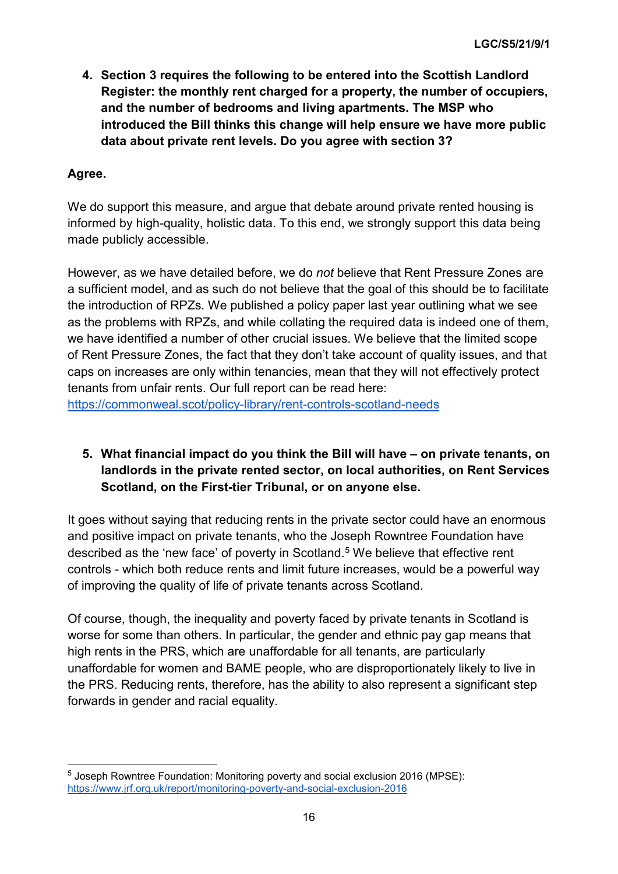**4. Section 3 requires the following to be entered into the Scottish Landlord Register: the monthly rent charged for a property, the number of occupiers, and the number of bedrooms and living apartments. The MSP who introduced the Bill thinks this change will help ensure we have more public data about private rent levels. Do you agree with section 3?**

# **Agree.**

We do support this measure, and argue that debate around private rented housing is informed by high-quality, holistic data. To this end, we strongly support this data being made publicly accessible.

However, as we have detailed before, we do *not* believe that Rent Pressure Zones are a sufficient model, and as such do not believe that the goal of this should be to facilitate the introduction of RPZs. We published a policy paper last year outlining what we see as the problems with RPZs, and while collating the required data is indeed one of them, we have identified a number of other crucial issues. We believe that the limited scope of Rent Pressure Zones, the fact that they don't take account of quality issues, and that caps on increases are only within tenancies, mean that they will not effectively protect tenants from unfair rents. Our full report can be read here:

<https://commonweal.scot/policy-library/rent-controls-scotland-needs>

# **5. What financial impact do you think the Bill will have – on private tenants, on landlords in the private rented sector, on local authorities, on Rent Services Scotland, on the First-tier Tribunal, or on anyone else.**

It goes without saying that reducing rents in the private sector could have an enormous and positive impact on private tenants, who the Joseph Rowntree Foundation have described as the 'new face' of poverty in Scotland.<sup>[5](#page-18-0)</sup> We believe that effective rent controls - which both reduce rents and limit future increases, would be a powerful way of improving the quality of life of private tenants across Scotland.

Of course, though, the inequality and poverty faced by private tenants in Scotland is worse for some than others. In particular, the gender and ethnic pay gap means that high rents in the PRS, which are unaffordable for all tenants, are particularly unaffordable for women and BAME people, who are disproportionately likely to live in the PRS. Reducing rents, therefore, has the ability to also represent a significant step forwards in gender and racial equality.

<span id="page-18-0"></span><sup>&</sup>lt;sup>5</sup> Joseph Rowntree Foundation: Monitoring poverty and social exclusion 2016 (MPSE): <https://www.jrf.org.uk/report/monitoring-poverty-and-social-exclusion-2016>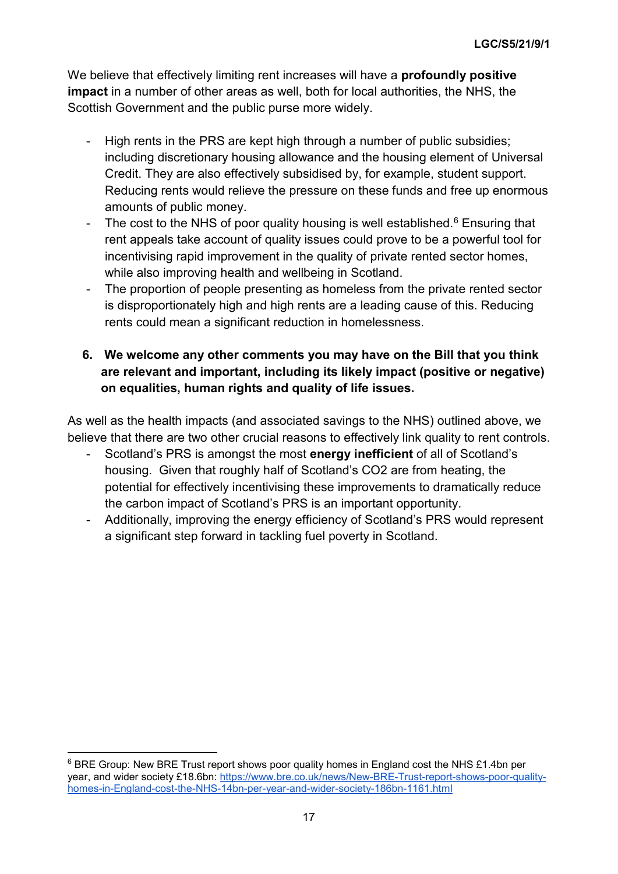We believe that effectively limiting rent increases will have a **profoundly positive impact** in a number of other areas as well, both for local authorities, the NHS, the Scottish Government and the public purse more widely.

- High rents in the PRS are kept high through a number of public subsidies; including discretionary housing allowance and the housing element of Universal Credit. They are also effectively subsidised by, for example, student support. Reducing rents would relieve the pressure on these funds and free up enormous amounts of public money.
- The cost to the NHS of poor quality housing is well established.<sup>[6](#page-19-0)</sup> Ensuring that rent appeals take account of quality issues could prove to be a powerful tool for incentivising rapid improvement in the quality of private rented sector homes, while also improving health and wellbeing in Scotland.
- The proportion of people presenting as homeless from the private rented sector is disproportionately high and high rents are a leading cause of this. Reducing rents could mean a significant reduction in homelessness.

# **6. We welcome any other comments you may have on the Bill that you think are relevant and important, including its likely impact (positive or negative) on equalities, human rights and quality of life issues.**

As well as the health impacts (and associated savings to the NHS) outlined above, we believe that there are two other crucial reasons to effectively link quality to rent controls.

- Scotland's PRS is amongst the most **energy inefficient** of all of Scotland's housing. Given that roughly half of Scotland's CO2 are from heating, the potential for effectively incentivising these improvements to dramatically reduce the carbon impact of Scotland's PRS is an important opportunity.
- Additionally, improving the energy efficiency of Scotland's PRS would represent a significant step forward in tackling fuel poverty in Scotland.

<span id="page-19-0"></span> $6$  BRE Group: New BRE Trust report shows poor quality homes in England cost the NHS £1.4bn per year, and wider society £18.6bn: [https://www.bre.co.uk/news/New-BRE-Trust-report-shows-poor-quality](https://www.bre.co.uk/news/New-BRE-Trust-report-shows-poor-quality-homes-in-England-cost-the-NHS-14bn-per-year-and-wider-society-186bn-1161.html)[homes-in-England-cost-the-NHS-14bn-per-year-and-wider-society-186bn-1161.html](https://www.bre.co.uk/news/New-BRE-Trust-report-shows-poor-quality-homes-in-England-cost-the-NHS-14bn-per-year-and-wider-society-186bn-1161.html)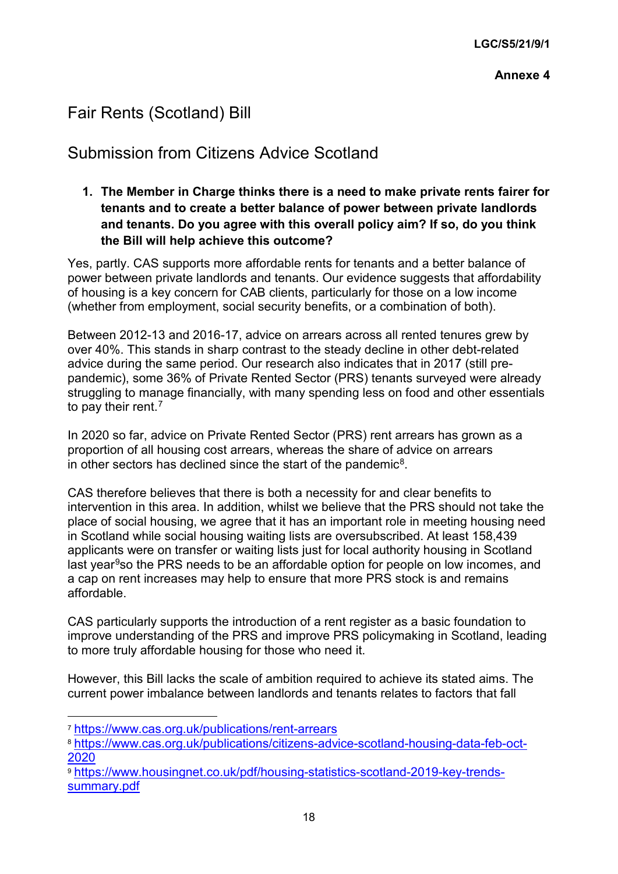# Fair Rents (Scotland) Bill

# Submission from Citizens Advice Scotland

# **1. The Member in Charge thinks there is a need to make private rents fairer for tenants and to create a better balance of power between private landlords and tenants. Do you agree with this overall policy aim? If so, do you think the Bill will help achieve this outcome?**

Yes, partly. CAS supports more affordable rents for tenants and a better balance of power between private landlords and tenants. Our evidence suggests that affordability of housing is a key concern for CAB clients, particularly for those on a low income (whether from employment, social security benefits, or a combination of both).

Between 2012-13 and 2016-17, advice on arrears across all rented tenures grew by over 40%. This stands in sharp contrast to the steady decline in other debt-related advice during the same period. Our research also indicates that in 2017 (still prepandemic), some 36% of Private Rented Sector (PRS) tenants surveyed were already struggling to manage financially, with many spending less on food and other essentials to pay their rent.<sup>7</sup>

In 2020 so far, advice on Private Rented Sector (PRS) rent arrears has grown as a proportion of all housing cost arrears, whereas the share of advice on arrears in other sectors has declined since the start of the pandemic<sup>8</sup>.

CAS therefore believes that there is both a necessity for and clear benefits to intervention in this area. In addition, whilst we believe that the PRS should not take the place of social housing, we agree that it has an important role in meeting housing need in Scotland while social housing waiting lists are oversubscribed. At least 158,439 applicants were on transfer or waiting lists just for local authority housing in Scotland last year<sup>[9](#page-20-2)</sup>so the PRS needs to be an affordable option for people on low incomes, and a cap on rent increases may help to ensure that more PRS stock is and remains affordable.

CAS particularly supports the introduction of a rent register as a basic foundation to improve understanding of the PRS and improve PRS policymaking in Scotland, leading to more truly affordable housing for those who need it.

However, this Bill lacks the scale of ambition required to achieve its stated aims. The current power imbalance between landlords and tenants relates to factors that fall

<span id="page-20-0"></span> <sup>7</sup> <https://www.cas.org.uk/publications/rent-arrears>

<span id="page-20-1"></span><sup>8</sup> [https://www.cas.org.uk/publications/citizens-advice-scotland-housing-data-feb-oct-](https://www.cas.org.uk/publications/citizens-advice-scotland-housing-data-feb-oct-2020)[2020](https://www.cas.org.uk/publications/citizens-advice-scotland-housing-data-feb-oct-2020)

<span id="page-20-2"></span><sup>9</sup> [https://www.housingnet.co.uk/pdf/housing-statistics-scotland-2019-key-trends](https://www.housingnet.co.uk/pdf/housing-statistics-scotland-2019-key-trends-summary.pdf)[summary.pdf](https://www.housingnet.co.uk/pdf/housing-statistics-scotland-2019-key-trends-summary.pdf)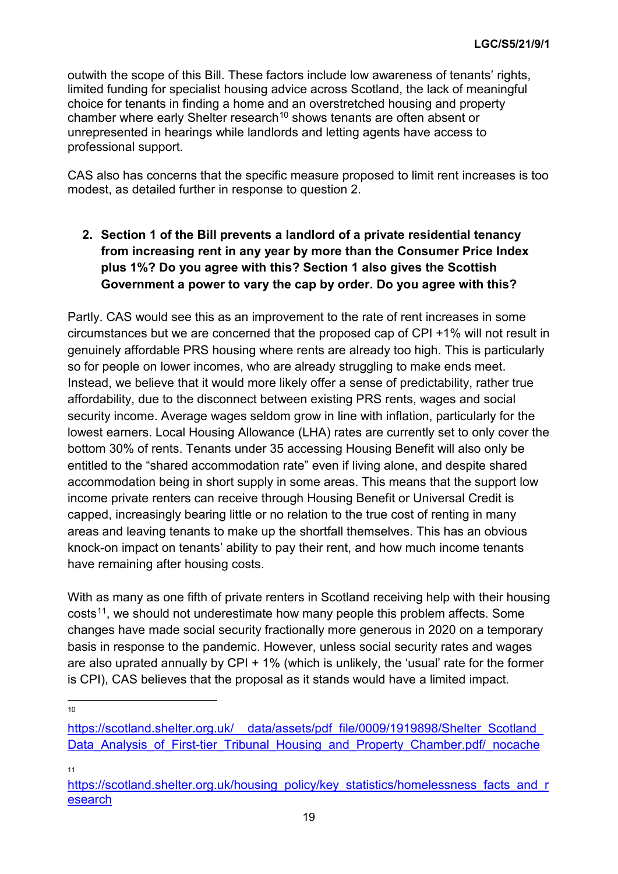outwith the scope of this Bill. These factors include low awareness of tenants' rights, limited funding for specialist housing advice across Scotland, the lack of meaningful choice for tenants in finding a home and an overstretched housing and property chamber where early Shelter research<sup>[10](#page-21-0)</sup> shows tenants are often absent or unrepresented in hearings while landlords and letting agents have access to professional support.

CAS also has concerns that the specific measure proposed to limit rent increases is too modest, as detailed further in response to question 2.

**2. Section 1 of the Bill prevents a landlord of a private residential tenancy from increasing rent in any year by more than the Consumer Price Index plus 1%? Do you agree with this? Section 1 also gives the Scottish Government a power to vary the cap by order. Do you agree with this?**

Partly. CAS would see this as an improvement to the rate of rent increases in some circumstances but we are concerned that the proposed cap of CPI +1% will not result in genuinely affordable PRS housing where rents are already too high. This is particularly so for people on lower incomes, who are already struggling to make ends meet. Instead, we believe that it would more likely offer a sense of predictability, rather true affordability, due to the disconnect between existing PRS rents, wages and social security income. Average wages seldom grow in line with inflation, particularly for the lowest earners. Local Housing Allowance (LHA) rates are currently set to only cover the bottom 30% of rents. Tenants under 35 accessing Housing Benefit will also only be entitled to the "shared accommodation rate" even if living alone, and despite shared accommodation being in short supply in some areas. This means that the support low income private renters can receive through Housing Benefit or Universal Credit is capped, increasingly bearing little or no relation to the true cost of renting in many areas and leaving tenants to make up the shortfall themselves. This has an obvious knock-on impact on tenants' ability to pay their rent, and how much income tenants have remaining after housing costs.

With as many as one fifth of private renters in Scotland receiving help with their housing  $costs<sup>11</sup>$ , we should not underestimate how many people this problem affects. Some changes have made social security fractionally more generous in 2020 on a temporary basis in response to the pandemic. However, unless social security rates and wages are also uprated annually by CPI  $+$  1% (which is unlikely, the 'usual' rate for the former is CPI), CAS believes that the proposal as it stands would have a limited impact.

10

11

<span id="page-21-0"></span>https://scotland.shelter.org.uk/ data/assets/pdf file/0009/1919898/Shelter Scotland Data Analysis of First-tier Tribunal Housing and Property Chamber.pdf/ nocache

<span id="page-21-1"></span>[https://scotland.shelter.org.uk/housing\\_policy/key\\_statistics/homelessness\\_facts\\_and\\_r](https://scotland.shelter.org.uk/housing_policy/key_statistics/homelessness_facts_and_research) [esearch](https://scotland.shelter.org.uk/housing_policy/key_statistics/homelessness_facts_and_research)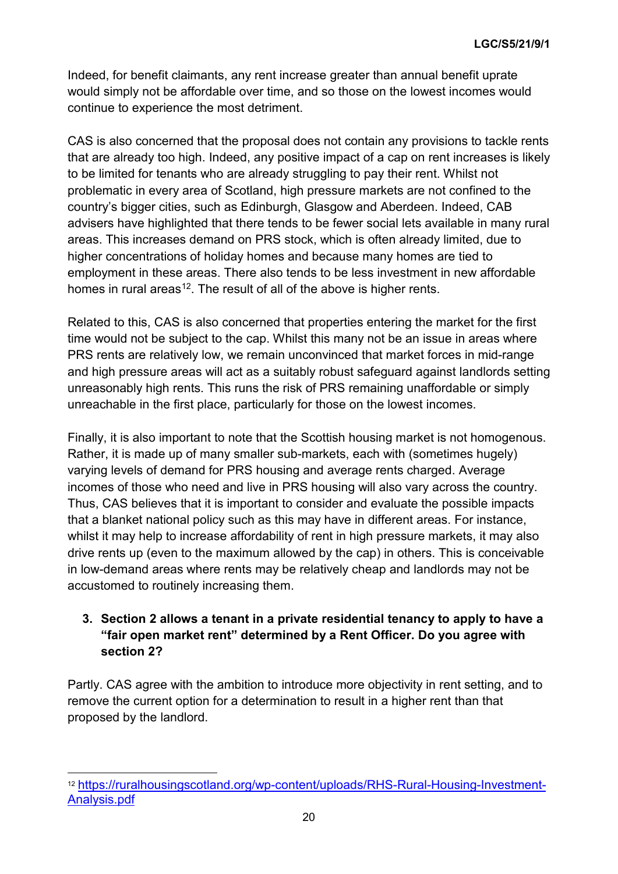Indeed, for benefit claimants, any rent increase greater than annual benefit uprate would simply not be affordable over time, and so those on the lowest incomes would continue to experience the most detriment.

CAS is also concerned that the proposal does not contain any provisions to tackle rents that are already too high. Indeed, any positive impact of a cap on rent increases is likely to be limited for tenants who are already struggling to pay their rent. Whilst not problematic in every area of Scotland, high pressure markets are not confined to the country's bigger cities, such as Edinburgh, Glasgow and Aberdeen. Indeed, CAB advisers have highlighted that there tends to be fewer social lets available in many rural areas. This increases demand on PRS stock, which is often already limited, due to higher concentrations of holiday homes and because many homes are tied to employment in these areas. There also tends to be less investment in new affordable homes in rural areas<sup>12</sup>. The result of all of the above is higher rents.

Related to this, CAS is also concerned that properties entering the market for the first time would not be subject to the cap. Whilst this many not be an issue in areas where PRS rents are relatively low, we remain unconvinced that market forces in mid-range and high pressure areas will act as a suitably robust safeguard against landlords setting unreasonably high rents. This runs the risk of PRS remaining unaffordable or simply unreachable in the first place, particularly for those on the lowest incomes.

Finally, it is also important to note that the Scottish housing market is not homogenous. Rather, it is made up of many smaller sub-markets, each with (sometimes hugely) varying levels of demand for PRS housing and average rents charged. Average incomes of those who need and live in PRS housing will also vary across the country. Thus, CAS believes that it is important to consider and evaluate the possible impacts that a blanket national policy such as this may have in different areas. For instance, whilst it may help to increase affordability of rent in high pressure markets, it may also drive rents up (even to the maximum allowed by the cap) in others. This is conceivable in low-demand areas where rents may be relatively cheap and landlords may not be accustomed to routinely increasing them.

# **3. Section 2 allows a tenant in a private residential tenancy to apply to have a "fair open market rent" determined by a Rent Officer. Do you agree with section 2?**

Partly. CAS agree with the ambition to introduce more objectivity in rent setting, and to remove the current option for a determination to result in a higher rent than that proposed by the landlord.

<span id="page-22-0"></span> <sup>12</sup> [https://ruralhousingscotland.org/wp-content/uploads/RHS-Rural-Housing-Investment-](https://ruralhousingscotland.org/wp-content/uploads/RHS-Rural-Housing-Investment-Analysis.pdf)[Analysis.pdf](https://ruralhousingscotland.org/wp-content/uploads/RHS-Rural-Housing-Investment-Analysis.pdf)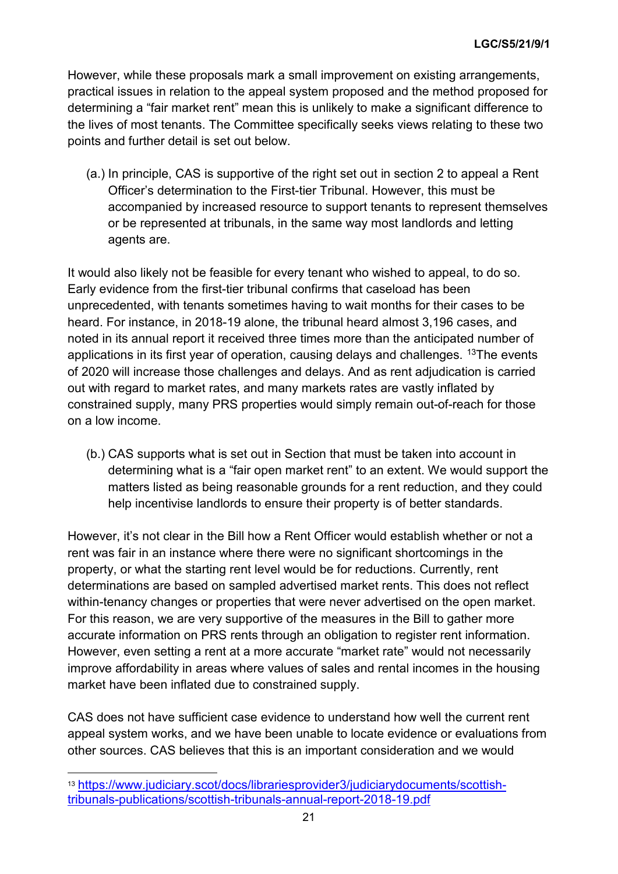However, while these proposals mark a small improvement on existing arrangements, practical issues in relation to the appeal system proposed and the method proposed for determining a "fair market rent" mean this is unlikely to make a significant difference to the lives of most tenants. The Committee specifically seeks views relating to these two points and further detail is set out below.

(a.) In principle, CAS is supportive of the right set out in section 2 to appeal a Rent Officer's determination to the First-tier Tribunal. However, this must be accompanied by increased resource to support tenants to represent themselves or be represented at tribunals, in the same way most landlords and letting agents are.

It would also likely not be feasible for every tenant who wished to appeal, to do so. Early evidence from the first-tier tribunal confirms that caseload has been unprecedented, with tenants sometimes having to wait months for their cases to be heard. For instance, in 2018-19 alone, the tribunal heard almost 3,196 cases, and noted in its annual report it received three times more than the anticipated number of applications in its first year of operation, causing delays and challenges.  $13$ The events of 2020 will increase those challenges and delays. And as rent adjudication is carried out with regard to market rates, and many markets rates are vastly inflated by constrained supply, many PRS properties would simply remain out-of-reach for those on a low income.

(b.) CAS supports what is set out in Section that must be taken into account in determining what is a "fair open market rent" to an extent. We would support the matters listed as being reasonable grounds for a rent reduction, and they could help incentivise landlords to ensure their property is of better standards.

However, it's not clear in the Bill how a Rent Officer would establish whether or not a rent was fair in an instance where there were no significant shortcomings in the property, or what the starting rent level would be for reductions. Currently, rent determinations are based on sampled advertised market rents. This does not reflect within-tenancy changes or properties that were never advertised on the open market. For this reason, we are very supportive of the measures in the Bill to gather more accurate information on PRS rents through an obligation to register rent information. However, even setting a rent at a more accurate "market rate" would not necessarily improve affordability in areas where values of sales and rental incomes in the housing market have been inflated due to constrained supply.

CAS does not have sufficient case evidence to understand how well the current rent appeal system works, and we have been unable to locate evidence or evaluations from other sources. CAS believes that this is an important consideration and we would

<span id="page-23-0"></span> <sup>13</sup> [https://www.judiciary.scot/docs/librariesprovider3/judiciarydocuments/scottish](https://www.judiciary.scot/docs/librariesprovider3/judiciarydocuments/scottish-tribunals-publications/scottish-tribunals-annual-report-2018-19.pdf)[tribunals-publications/scottish-tribunals-annual-report-2018-19.pdf](https://www.judiciary.scot/docs/librariesprovider3/judiciarydocuments/scottish-tribunals-publications/scottish-tribunals-annual-report-2018-19.pdf)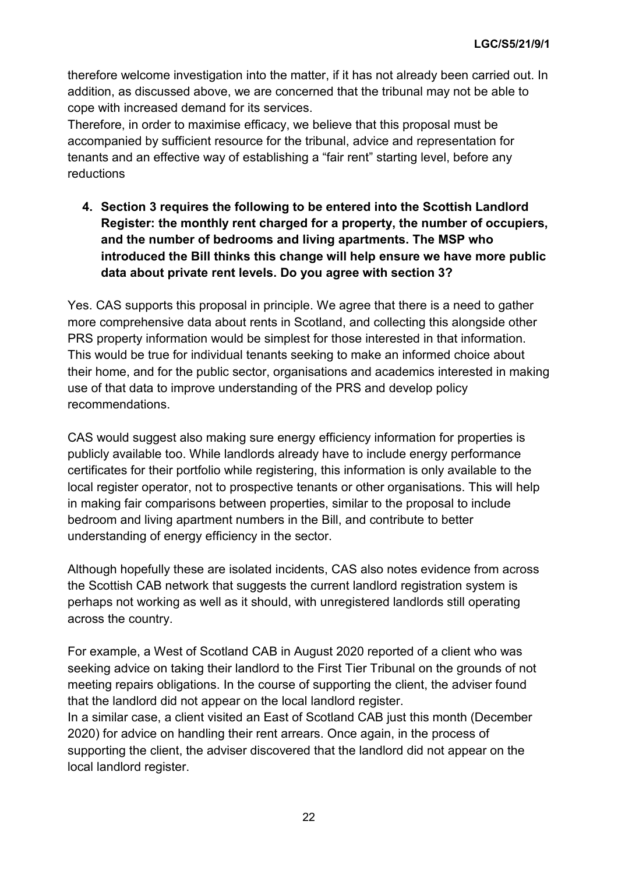therefore welcome investigation into the matter, if it has not already been carried out. In addition, as discussed above, we are concerned that the tribunal may not be able to cope with increased demand for its services.

Therefore, in order to maximise efficacy, we believe that this proposal must be accompanied by sufficient resource for the tribunal, advice and representation for tenants and an effective way of establishing a "fair rent" starting level, before any reductions

**4. Section 3 requires the following to be entered into the Scottish Landlord Register: the monthly rent charged for a property, the number of occupiers, and the number of bedrooms and living apartments. The MSP who introduced the Bill thinks this change will help ensure we have more public data about private rent levels. Do you agree with section 3?**

Yes. CAS supports this proposal in principle. We agree that there is a need to gather more comprehensive data about rents in Scotland, and collecting this alongside other PRS property information would be simplest for those interested in that information. This would be true for individual tenants seeking to make an informed choice about their home, and for the public sector, organisations and academics interested in making use of that data to improve understanding of the PRS and develop policy recommendations.

CAS would suggest also making sure energy efficiency information for properties is publicly available too. While landlords already have to include energy performance certificates for their portfolio while registering, this information is only available to the local register operator, not to prospective tenants or other organisations. This will help in making fair comparisons between properties, similar to the proposal to include bedroom and living apartment numbers in the Bill, and contribute to better understanding of energy efficiency in the sector.

Although hopefully these are isolated incidents, CAS also notes evidence from across the Scottish CAB network that suggests the current landlord registration system is perhaps not working as well as it should, with unregistered landlords still operating across the country.

For example, a West of Scotland CAB in August 2020 reported of a client who was seeking advice on taking their landlord to the First Tier Tribunal on the grounds of not meeting repairs obligations. In the course of supporting the client, the adviser found that the landlord did not appear on the local landlord register.

In a similar case, a client visited an East of Scotland CAB just this month (December 2020) for advice on handling their rent arrears. Once again, in the process of supporting the client, the adviser discovered that the landlord did not appear on the local landlord register.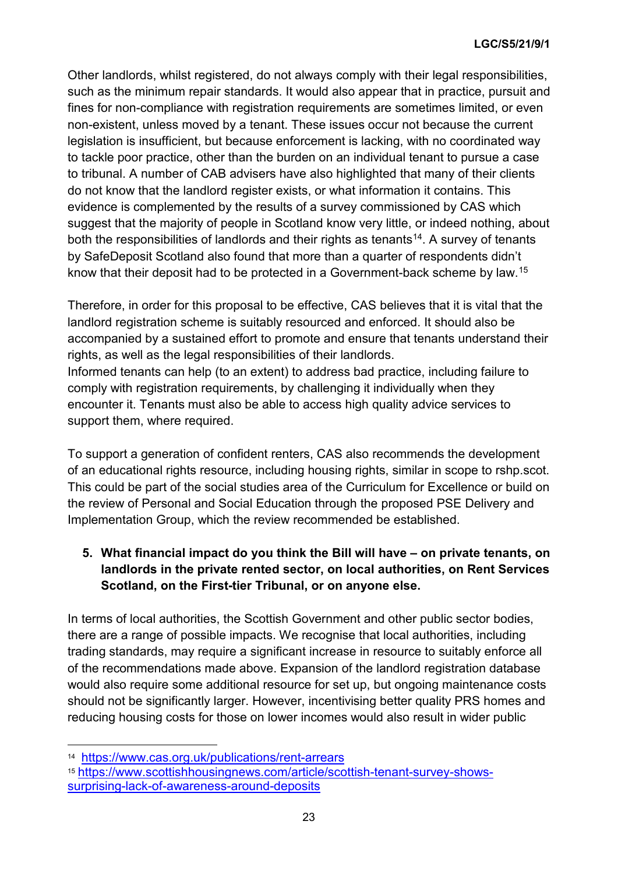Other landlords, whilst registered, do not always comply with their legal responsibilities, such as the minimum repair standards. It would also appear that in practice, pursuit and fines for non-compliance with registration requirements are sometimes limited, or even non-existent, unless moved by a tenant. These issues occur not because the current legislation is insufficient, but because enforcement is lacking, with no coordinated way to tackle poor practice, other than the burden on an individual tenant to pursue a case to tribunal. A number of CAB advisers have also highlighted that many of their clients do not know that the landlord register exists, or what information it contains. This evidence is complemented by the results of a survey commissioned by CAS which suggest that the majority of people in Scotland know very little, or indeed nothing, about both the responsibilities of landlords and their rights as tenants<sup>14</sup>. A survey of tenants by SafeDeposit Scotland also found that more than a quarter of respondents didn't know that their deposit had to be protected in a Government-back scheme by law. [15](#page-25-1)

Therefore, in order for this proposal to be effective, CAS believes that it is vital that the landlord registration scheme is suitably resourced and enforced. It should also be accompanied by a sustained effort to promote and ensure that tenants understand their rights, as well as the legal responsibilities of their landlords. Informed tenants can help (to an extent) to address bad practice, including failure to comply with registration requirements, by challenging it individually when they encounter it. Tenants must also be able to access high quality advice services to support them, where required.

To support a generation of confident renters, CAS also recommends the development of an educational rights resource, including housing rights, similar in scope to rshp.scot. This could be part of the social studies area of the Curriculum for Excellence or build on the review of Personal and Social Education through the proposed PSE Delivery and Implementation Group, which the review recommended be established.

# **5. What financial impact do you think the Bill will have – on private tenants, on landlords in the private rented sector, on local authorities, on Rent Services Scotland, on the First-tier Tribunal, or on anyone else.**

In terms of local authorities, the Scottish Government and other public sector bodies, there are a range of possible impacts. We recognise that local authorities, including trading standards, may require a significant increase in resource to suitably enforce all of the recommendations made above. Expansion of the landlord registration database would also require some additional resource for set up, but ongoing maintenance costs should not be significantly larger. However, incentivising better quality PRS homes and reducing housing costs for those on lower incomes would also result in wider public

<span id="page-25-0"></span> <sup>14</sup> <https://www.cas.org.uk/publications/rent-arrears>

<span id="page-25-1"></span><sup>15</sup> [https://www.scottishhousingnews.com/article/scottish-tenant-survey-shows](https://www.scottishhousingnews.com/article/scottish-tenant-survey-shows-surprising-lack-of-awareness-around-deposits)[surprising-lack-of-awareness-around-deposits](https://www.scottishhousingnews.com/article/scottish-tenant-survey-shows-surprising-lack-of-awareness-around-deposits)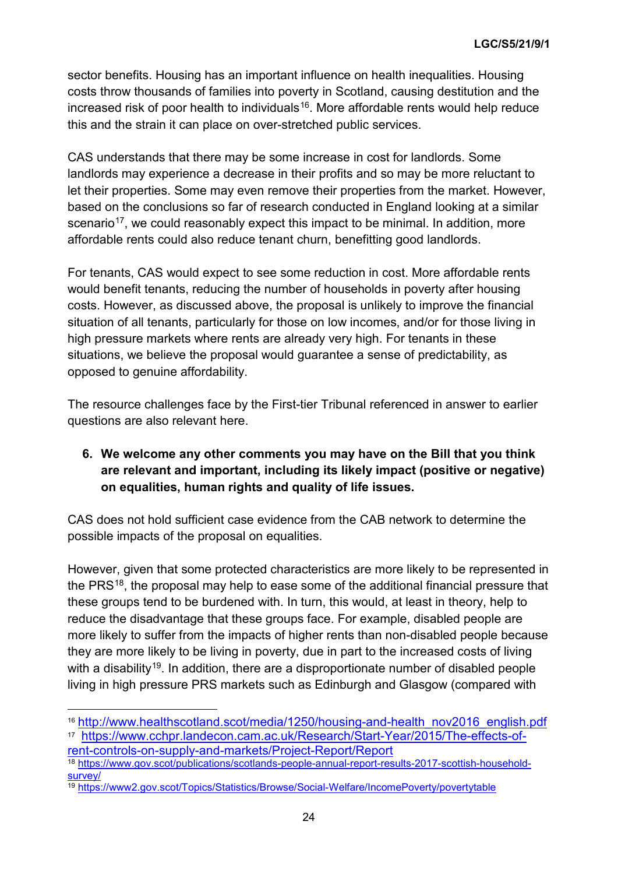sector benefits. Housing has an important influence on health inequalities. Housing costs throw thousands of families into poverty in Scotland, causing destitution and the increased risk of poor health to individuals<sup>[16](#page-26-0)</sup>. More affordable rents would help reduce this and the strain it can place on over-stretched public services.

CAS understands that there may be some increase in cost for landlords. Some landlords may experience a decrease in their profits and so may be more reluctant to let their properties. Some may even remove their properties from the market. However, based on the conclusions so far of research conducted in England looking at a similar scenario<sup>17</sup>, we could reasonably expect this impact to be minimal. In addition, more affordable rents could also reduce tenant churn, benefitting good landlords.

For tenants, CAS would expect to see some reduction in cost. More affordable rents would benefit tenants, reducing the number of households in poverty after housing costs. However, as discussed above, the proposal is unlikely to improve the financial situation of all tenants, particularly for those on low incomes, and/or for those living in high pressure markets where rents are already very high. For tenants in these situations, we believe the proposal would guarantee a sense of predictability, as opposed to genuine affordability.

The resource challenges face by the First-tier Tribunal referenced in answer to earlier questions are also relevant here.

# **6. We welcome any other comments you may have on the Bill that you think are relevant and important, including its likely impact (positive or negative) on equalities, human rights and quality of life issues.**

CAS does not hold sufficient case evidence from the CAB network to determine the possible impacts of the proposal on equalities.

However, given that some protected characteristics are more likely to be represented in the PRS<sup>[18](#page-26-2)</sup>, the proposal may help to ease some of the additional financial pressure that these groups tend to be burdened with. In turn, this would, at least in theory, help to reduce the disadvantage that these groups face. For example, disabled people are more likely to suffer from the impacts of higher rents than non-disabled people because they are more likely to be living in poverty, due in part to the increased costs of living with a disability<sup>[19](#page-26-3)</sup>. In addition, there are a disproportionate number of disabled people living in high pressure PRS markets such as Edinburgh and Glasgow (compared with

<span id="page-26-0"></span> <sup>16</sup> [http://www.healthscotland.scot/media/1250/housing-and-health\\_nov2016\\_english.pdf](http://www.healthscotland.scot/media/1250/housing-and-health_nov2016_english.pdf)

<span id="page-26-1"></span><sup>17</sup> [https://www.cchpr.landecon.cam.ac.uk/Research/Start-Year/2015/The-effects-of](https://www.cchpr.landecon.cam.ac.uk/Research/Start-Year/2015/The-effects-of-rent-controls-on-supply-and-markets/Project-Report/Report)[rent-controls-on-supply-and-markets/Project-Report/Report](https://www.cchpr.landecon.cam.ac.uk/Research/Start-Year/2015/The-effects-of-rent-controls-on-supply-and-markets/Project-Report/Report)

<span id="page-26-2"></span><sup>18</sup> [https://www.gov.scot/publications/scotlands-people-annual-report-results-2017-scottish-household](https://www.gov.scot/publications/scotlands-people-annual-report-results-2017-scottish-household-survey/)[survey/](https://www.gov.scot/publications/scotlands-people-annual-report-results-2017-scottish-household-survey/)

<span id="page-26-3"></span><sup>19</sup> <https://www2.gov.scot/Topics/Statistics/Browse/Social-Welfare/IncomePoverty/povertytable>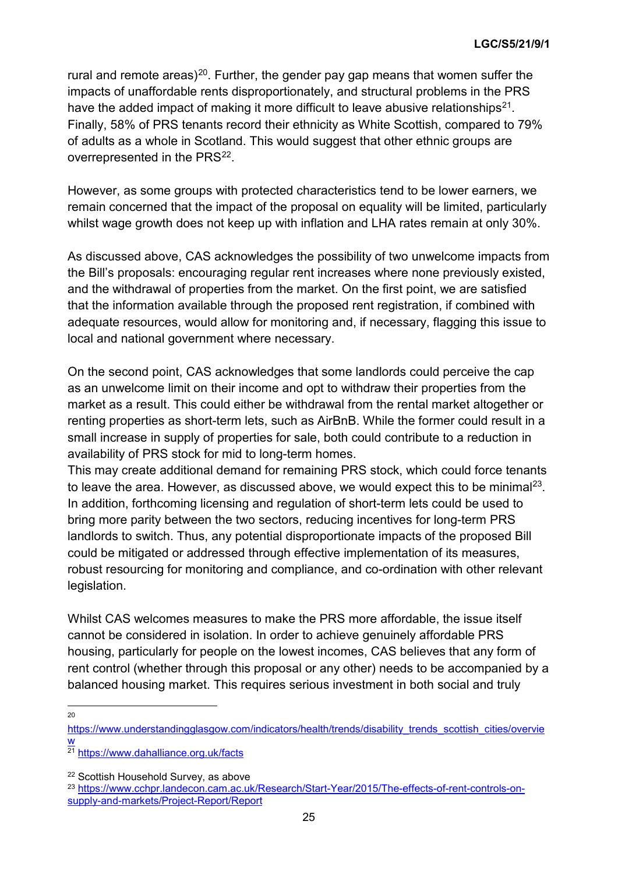rural and remote areas)<sup>[20](#page-27-0)</sup>. Further, the gender pay gap means that women suffer the impacts of unaffordable rents disproportionately, and structural problems in the PRS have the added impact of making it more difficult to leave abusive relationships<sup>21</sup>. Finally, 58% of PRS tenants record their ethnicity as White Scottish, compared to 79% of adults as a whole in Scotland. This would suggest that other ethnic groups are overrepresented in the PRS<sup>22</sup>.

However, as some groups with protected characteristics tend to be lower earners, we remain concerned that the impact of the proposal on equality will be limited, particularly whilst wage growth does not keep up with inflation and LHA rates remain at only 30%.

As discussed above, CAS acknowledges the possibility of two unwelcome impacts from the Bill's proposals: encouraging regular rent increases where none previously existed, and the withdrawal of properties from the market. On the first point, we are satisfied that the information available through the proposed rent registration, if combined with adequate resources, would allow for monitoring and, if necessary, flagging this issue to local and national government where necessary.

On the second point, CAS acknowledges that some landlords could perceive the cap as an unwelcome limit on their income and opt to withdraw their properties from the market as a result. This could either be withdrawal from the rental market altogether or renting properties as short-term lets, such as AirBnB. While the former could result in a small increase in supply of properties for sale, both could contribute to a reduction in availability of PRS stock for mid to long-term homes.

This may create additional demand for remaining PRS stock, which could force tenants to leave the area. However, as discussed above, we would expect this to be minimal<sup>23</sup>. In addition, forthcoming licensing and regulation of short-term lets could be used to bring more parity between the two sectors, reducing incentives for long-term PRS landlords to switch. Thus, any potential disproportionate impacts of the proposed Bill could be mitigated or addressed through effective implementation of its measures, robust resourcing for monitoring and compliance, and co-ordination with other relevant legislation.

Whilst CAS welcomes measures to make the PRS more affordable, the issue itself cannot be considered in isolation. In order to achieve genuinely affordable PRS housing, particularly for people on the lowest incomes, CAS believes that any form of rent control (whether through this proposal or any other) needs to be accompanied by a balanced housing market. This requires serious investment in both social and truly

20

<span id="page-27-0"></span>[https://www.understandingglasgow.com/indicators/health/trends/disability\\_trends\\_scottish\\_cities/overvie](https://www.understandingglasgow.com/indicators/health/trends/disability_trends_scottish_cities/overview) [w](https://www.understandingglasgow.com/indicators/health/trends/disability_trends_scottish_cities/overview)

<span id="page-27-1"></span><sup>21</sup> <https://www.dahalliance.org.uk/facts>

<span id="page-27-2"></span><sup>22</sup> Scottish Household Survey, as above

<span id="page-27-3"></span><sup>23</sup> [https://www.cchpr.landecon.cam.ac.uk/Research/Start-Year/2015/The-effects-of-rent-controls-on](https://www.cchpr.landecon.cam.ac.uk/Research/Start-Year/2015/The-effects-of-rent-controls-on-supply-and-markets/Project-Report/Report)[supply-and-markets/Project-Report/Report](https://www.cchpr.landecon.cam.ac.uk/Research/Start-Year/2015/The-effects-of-rent-controls-on-supply-and-markets/Project-Report/Report)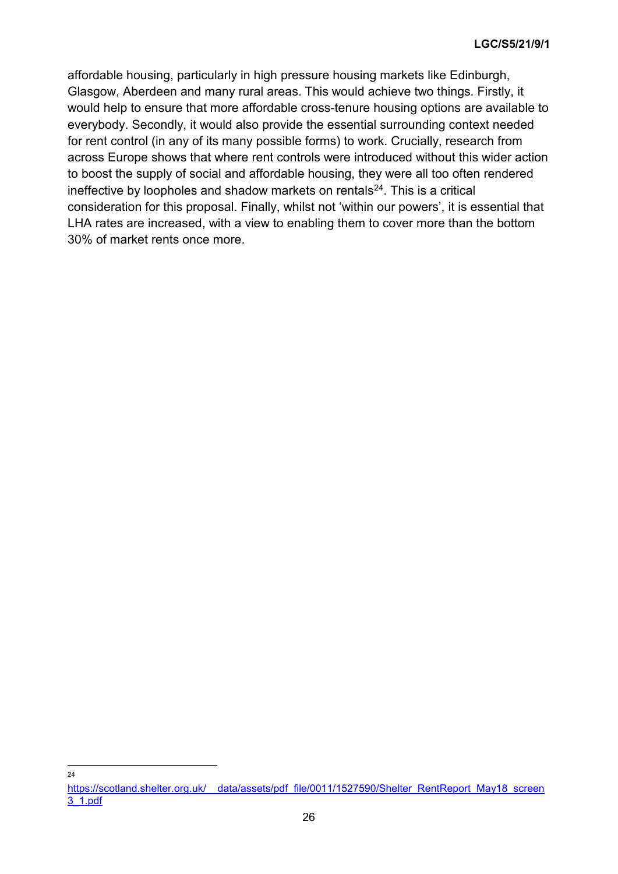affordable housing, particularly in high pressure housing markets like Edinburgh, Glasgow, Aberdeen and many rural areas. This would achieve two things. Firstly, it would help to ensure that more affordable cross-tenure housing options are available to everybody. Secondly, it would also provide the essential surrounding context needed for rent control (in any of its many possible forms) to work. Crucially, research from across Europe shows that where rent controls were introduced without this wider action to boost the supply of social and affordable housing, they were all too often rendered ineffective by loopholes and shadow markets on rentals $24$ . This is a critical consideration for this proposal. Finally, whilst not 'within our powers', it is essential that LHA rates are increased, with a view to enabling them to cover more than the bottom 30% of market rents once more.

24

<span id="page-28-0"></span>https://scotland.shelter.org.uk/ data/assets/pdf file/0011/1527590/Shelter\_RentReport\_May18\_screen [3\\_1.pdf](https://scotland.shelter.org.uk/__data/assets/pdf_file/0011/1527590/Shelter_RentReport_May18_screen3_1.pdf)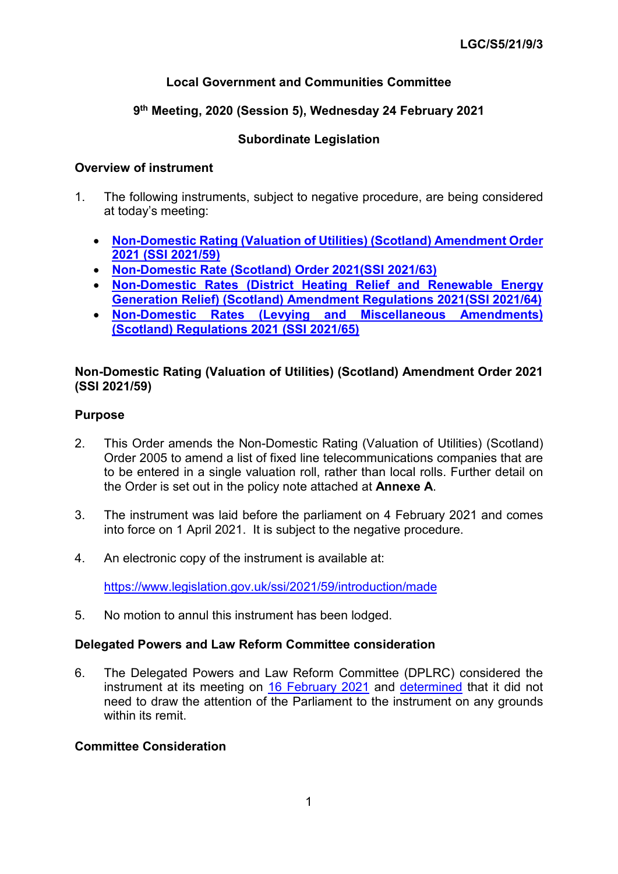# **Local Government and Communities Committee**

# **9th Meeting, 2020 (Session 5), Wednesday 24 February 2021**

# **Subordinate Legislation**

### **Overview of instrument**

- 1. The following instruments, subject to negative procedure, are being considered at today's meeting:
	- **[Non-Domestic Rating \(Valuation of Utilities\) \(Scotland\) Amendment Order](https://www.legislation.gov.uk/ssi/2021/59/contents/made)  [2021 \(SSI 2021/59\)](https://www.legislation.gov.uk/ssi/2021/59/contents/made)**
	- **[Non-Domestic Rate \(Scotland\) Order 2021\(SSI 2021/63\)](https://www.legislation.gov.uk/ssi/2021/63/contents/made)**
	- **[Non-Domestic Rates \(District Heating Relief and Renewable Energy](https://www.legislation.gov.uk/ssi/2021/64/contents/made)  [Generation Relief\) \(Scotland\) Amendment Regulations 2021\(SSI 2021/64\)](https://www.legislation.gov.uk/ssi/2021/64/contents/made)**
	- **[Non-Domestic Rates \(Levying and Miscellaneous Amendments\)](https://www.legislation.gov.uk/ssi/2021/65/contents/made)  [\(Scotland\) Regulations 2021 \(SSI 2021/65\)](https://www.legislation.gov.uk/ssi/2021/65/contents/made)**

## **Non-Domestic Rating (Valuation of Utilities) (Scotland) Amendment Order 2021 (SSI 2021/59)**

## **Purpose**

- 2. This Order amends the Non-Domestic Rating (Valuation of Utilities) (Scotland) Order 2005 to amend a list of fixed line telecommunications companies that are to be entered in a single valuation roll, rather than local rolls. Further detail on the Order is set out in the policy note attached at **Annexe A**.
- 3. The instrument was laid before the parliament on 4 February 2021 and comes into force on 1 April 2021. It is subject to the negative procedure.
- 4. An electronic copy of the instrument is available at:

<https://www.legislation.gov.uk/ssi/2021/59/introduction/made>

5. No motion to annul this instrument has been lodged.

# **Delegated Powers and Law Reform Committee consideration**

6. The Delegated Powers and Law Reform Committee (DPLRC) considered the instrument at its meeting on [16 February](http://www.parliament.scot/parliamentarybusiness/report.aspx?r=13127) 2021 and [determined](https://digitalpublications.parliament.scot/Committees/Report/DPLR/2021/2/16/61a4c1d3-ff27-452b-89c8-b9437f9f9764-1#Introduction) that it did not need to draw the attention of the Parliament to the instrument on any grounds within its remit

#### **Committee Consideration**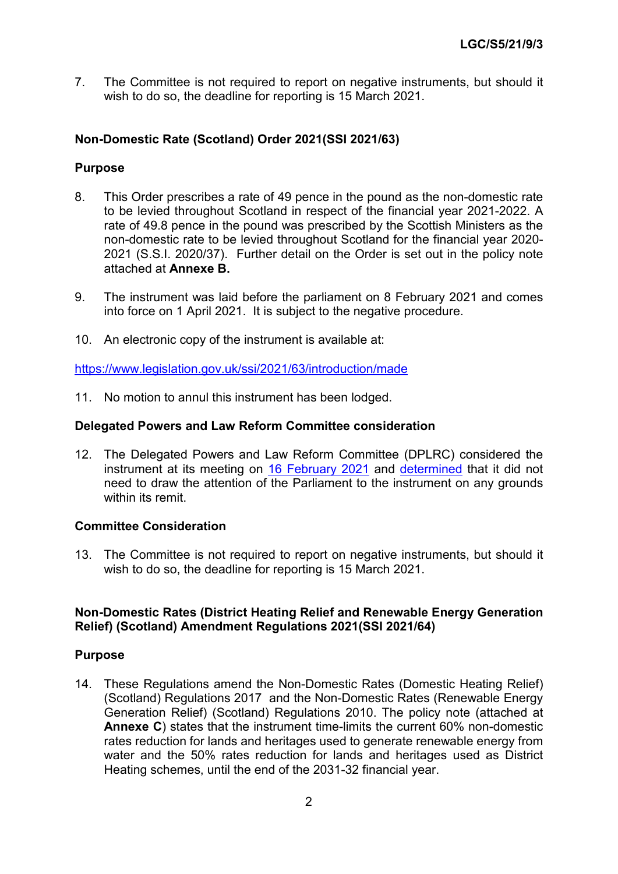7. The Committee is not required to report on negative instruments, but should it wish to do so, the deadline for reporting is 15 March 2021.

## **Non-Domestic Rate (Scotland) Order 2021(SSI 2021/63)**

#### **Purpose**

- 8. This Order prescribes a rate of 49 pence in the pound as the non-domestic rate to be levied throughout Scotland in respect of the financial year 2021-2022. A rate of 49.8 pence in the pound was prescribed by the Scottish Ministers as the non-domestic rate to be levied throughout Scotland for the financial year 2020- 2021 (S.S.I. 2020/37). Further detail on the Order is set out in the policy note attached at **Annexe B.**
- 9. The instrument was laid before the parliament on 8 February 2021 and comes into force on 1 April 2021. It is subject to the negative procedure.
- 10. An electronic copy of the instrument is available at:

<https://www.legislation.gov.uk/ssi/2021/63/introduction/made>

11. No motion to annul this instrument has been lodged.

#### **Delegated Powers and Law Reform Committee consideration**

12. The Delegated Powers and Law Reform Committee (DPLRC) considered the instrument at its meeting on [16 February 2021](http://www.parliament.scot/parliamentarybusiness/report.aspx?r=13127) and [determined](https://digitalpublications.parliament.scot/Committees/Report/DPLR/2021/2/16/61a4c1d3-ff27-452b-89c8-b9437f9f9764-1#Introduction) that it did not need to draw the attention of the Parliament to the instrument on any grounds within its remit

#### **Committee Consideration**

13. The Committee is not required to report on negative instruments, but should it wish to do so, the deadline for reporting is 15 March 2021.

#### **Non-Domestic Rates (District Heating Relief and Renewable Energy Generation Relief) (Scotland) Amendment Regulations 2021(SSI 2021/64)**

#### **Purpose**

14. These Regulations amend the Non-Domestic Rates (Domestic Heating Relief) (Scotland) Regulations 2017 and the Non-Domestic Rates (Renewable Energy Generation Relief) (Scotland) Regulations 2010. The policy note (attached at **Annexe C**) states that the instrument time-limits the current 60% non-domestic rates reduction for lands and heritages used to generate renewable energy from water and the 50% rates reduction for lands and heritages used as District Heating schemes, until the end of the 2031-32 financial year.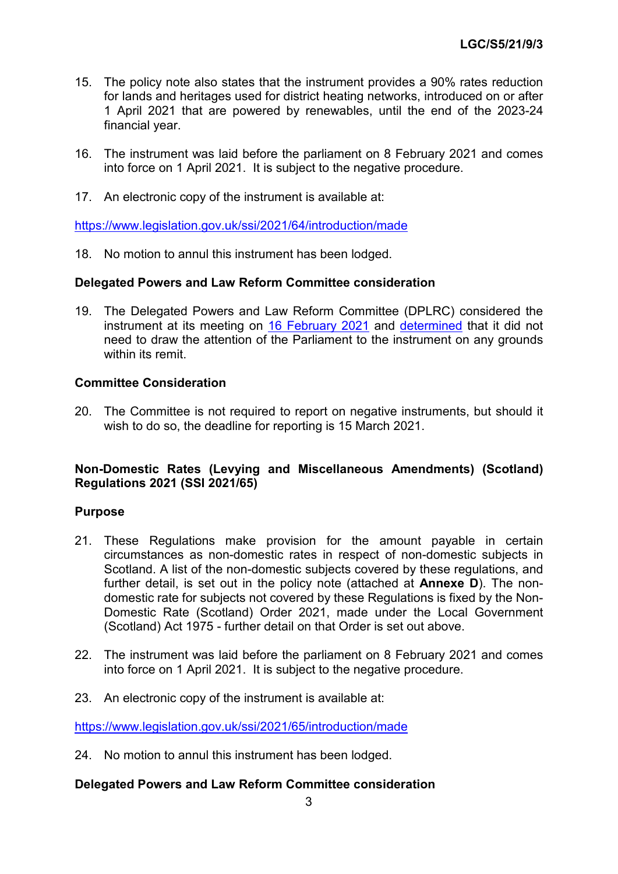- 15. The policy note also states that the instrument provides a 90% rates reduction for lands and heritages used for district heating networks, introduced on or after 1 April 2021 that are powered by renewables, until the end of the 2023-24 financial year.
- 16. The instrument was laid before the parliament on 8 February 2021 and comes into force on 1 April 2021. It is subject to the negative procedure.
- 17. An electronic copy of the instrument is available at:

<https://www.legislation.gov.uk/ssi/2021/64/introduction/made>

18. No motion to annul this instrument has been lodged.

#### **Delegated Powers and Law Reform Committee consideration**

19. The Delegated Powers and Law Reform Committee (DPLRC) considered the instrument at its meeting on [16 February 2021](http://www.parliament.scot/parliamentarybusiness/report.aspx?r=13127) and [determined](https://digitalpublications.parliament.scot/Committees/Report/DPLR/2021/2/16/61a4c1d3-ff27-452b-89c8-b9437f9f9764-1#Introduction) that it did not need to draw the attention of the Parliament to the instrument on any grounds within its remit

#### **Committee Consideration**

20. The Committee is not required to report on negative instruments, but should it wish to do so, the deadline for reporting is 15 March 2021.

#### **Non-Domestic Rates (Levying and Miscellaneous Amendments) (Scotland) Regulations 2021 (SSI 2021/65)**

#### **Purpose**

- 21. These Regulations make provision for the amount payable in certain circumstances as non-domestic rates in respect of non-domestic subjects in Scotland. A list of the non-domestic subjects covered by these regulations, and further detail, is set out in the policy note (attached at **Annexe D**). The nondomestic rate for subjects not covered by these Regulations is fixed by the Non-Domestic Rate (Scotland) Order 2021, made under the Local Government (Scotland) Act 1975 - further detail on that Order is set out above.
- 22. The instrument was laid before the parliament on 8 February 2021 and comes into force on 1 April 2021. It is subject to the negative procedure.
- 23. An electronic copy of the instrument is available at:

<https://www.legislation.gov.uk/ssi/2021/65/introduction/made>

24. No motion to annul this instrument has been lodged.

#### **Delegated Powers and Law Reform Committee consideration**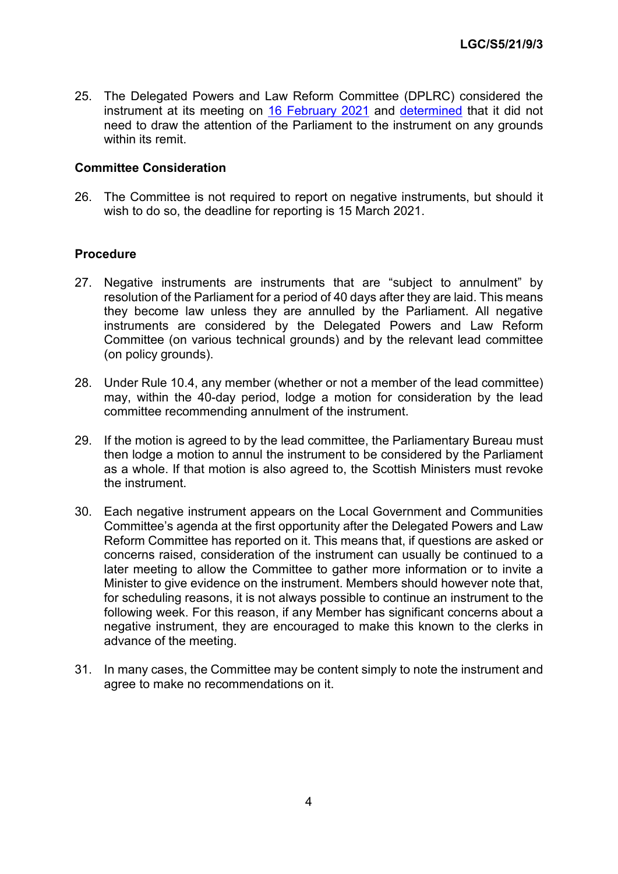25. The Delegated Powers and Law Reform Committee (DPLRC) considered the instrument at its meeting on [16 February 2021](http://www.parliament.scot/parliamentarybusiness/report.aspx?r=13127) and [determined](https://digitalpublications.parliament.scot/Committees/Report/DPLR/2021/2/16/61a4c1d3-ff27-452b-89c8-b9437f9f9764-1#Introduction) that it did not need to draw the attention of the Parliament to the instrument on any grounds within its remit.

#### **Committee Consideration**

26. The Committee is not required to report on negative instruments, but should it wish to do so, the deadline for reporting is 15 March 2021.

#### **Procedure**

- 27. Negative instruments are instruments that are "subject to annulment" by resolution of the Parliament for a period of 40 days after they are laid. This means they become law unless they are annulled by the Parliament. All negative instruments are considered by the Delegated Powers and Law Reform Committee (on various technical grounds) and by the relevant lead committee (on policy grounds).
- 28. Under Rule 10.4, any member (whether or not a member of the lead committee) may, within the 40-day period, lodge a motion for consideration by the lead committee recommending annulment of the instrument.
- 29. If the motion is agreed to by the lead committee, the Parliamentary Bureau must then lodge a motion to annul the instrument to be considered by the Parliament as a whole. If that motion is also agreed to, the Scottish Ministers must revoke the instrument.
- 30. Each negative instrument appears on the Local Government and Communities Committee's agenda at the first opportunity after the Delegated Powers and Law Reform Committee has reported on it. This means that, if questions are asked or concerns raised, consideration of the instrument can usually be continued to a later meeting to allow the Committee to gather more information or to invite a Minister to give evidence on the instrument. Members should however note that, for scheduling reasons, it is not always possible to continue an instrument to the following week. For this reason, if any Member has significant concerns about a negative instrument, they are encouraged to make this known to the clerks in advance of the meeting.
- 31. In many cases, the Committee may be content simply to note the instrument and agree to make no recommendations on it.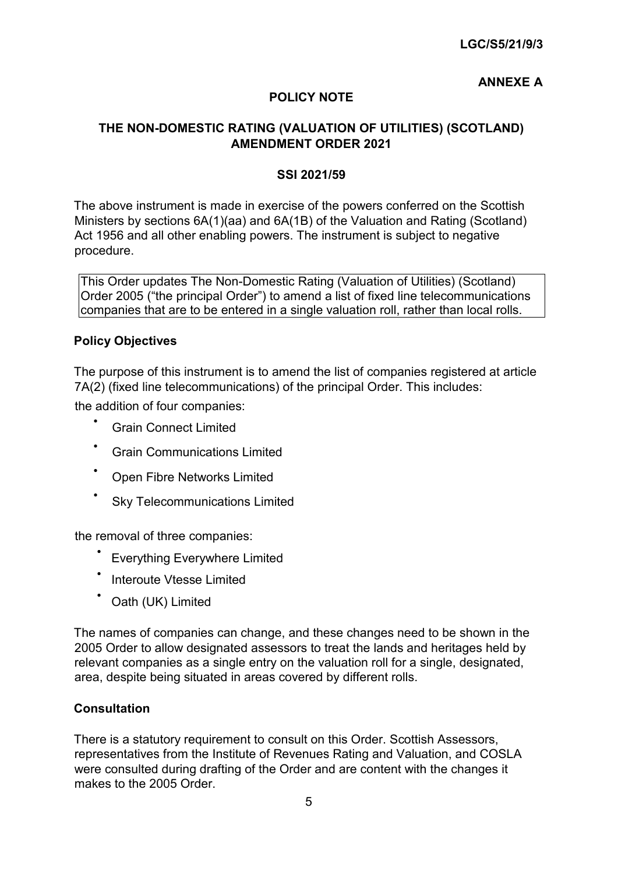# **ANNEXE A**

# **POLICY NOTE**

## **THE NON-DOMESTIC RATING (VALUATION OF UTILITIES) (SCOTLAND) AMENDMENT ORDER 2021**

#### **SSI 2021/59**

The above instrument is made in exercise of the powers conferred on the Scottish Ministers by sections 6A(1)(aa) and 6A(1B) of the Valuation and Rating (Scotland) Act 1956 and all other enabling powers. The instrument is subject to negative procedure.

This Order updates The Non-Domestic Rating (Valuation of Utilities) (Scotland) Order 2005 ("the principal Order") to amend a list of fixed line telecommunications companies that are to be entered in a single valuation roll, rather than local rolls.

#### **Policy Objectives**

The purpose of this instrument is to amend the list of companies registered at article 7A(2) (fixed line telecommunications) of the principal Order. This includes: the addition of four companies:

- Grain Connect Limited
- Grain Communications Limited
- Open Fibre Networks Limited
- **Sky Telecommunications Limited**

the removal of three companies:

- **Everything Everywhere Limited**
- Interoute Vtesse Limited
- Oath (UK) Limited

The names of companies can change, and these changes need to be shown in the 2005 Order to allow designated assessors to treat the lands and heritages held by relevant companies as a single entry on the valuation roll for a single, designated, area, despite being situated in areas covered by different rolls.

#### **Consultation**

There is a statutory requirement to consult on this Order. Scottish Assessors, representatives from the Institute of Revenues Rating and Valuation, and COSLA were consulted during drafting of the Order and are content with the changes it makes to the 2005 Order.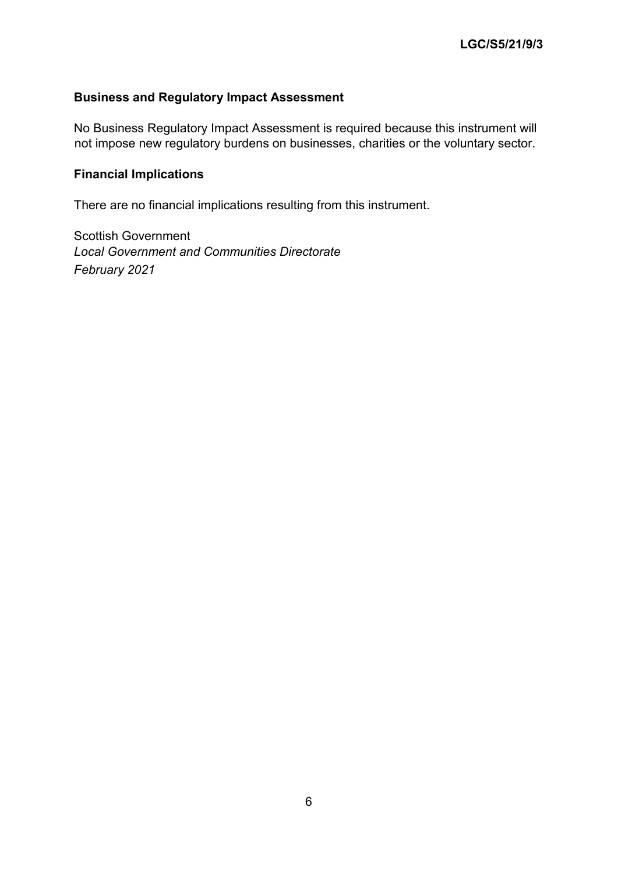# **Business and Regulatory Impact Assessment**

No Business Regulatory Impact Assessment is required because this instrument will not impose new regulatory burdens on businesses, charities or the voluntary sector.

## **Financial Implications**

There are no financial implications resulting from this instrument.

Scottish Government *Local Government and Communities Directorate February 2021*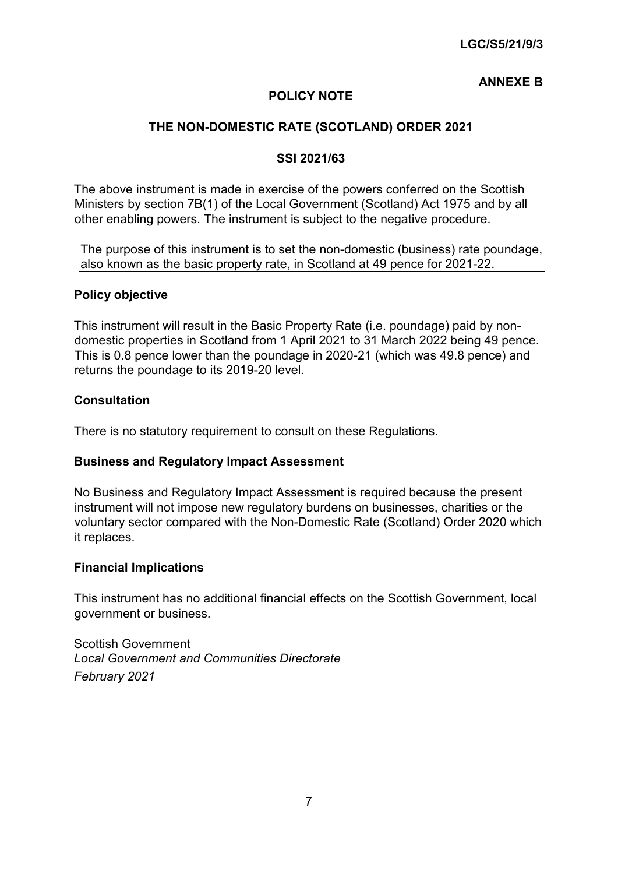## **ANNEXE B**

# **POLICY NOTE**

## **THE NON-DOMESTIC RATE (SCOTLAND) ORDER 2021**

#### **SSI 2021/63**

The above instrument is made in exercise of the powers conferred on the Scottish Ministers by section 7B(1) of the Local Government (Scotland) Act 1975 and by all other enabling powers. The instrument is subject to the negative procedure.

The purpose of this instrument is to set the non-domestic (business) rate poundage, also known as the basic property rate, in Scotland at 49 pence for 2021-22.

#### **Policy objective**

This instrument will result in the Basic Property Rate (i.e. poundage) paid by nondomestic properties in Scotland from 1 April 2021 to 31 March 2022 being 49 pence. This is 0.8 pence lower than the poundage in 2020-21 (which was 49.8 pence) and returns the poundage to its 2019-20 level.

#### **Consultation**

There is no statutory requirement to consult on these Regulations.

#### **Business and Regulatory Impact Assessment**

No Business and Regulatory Impact Assessment is required because the present instrument will not impose new regulatory burdens on businesses, charities or the voluntary sector compared with the Non-Domestic Rate (Scotland) Order 2020 which it replaces.

#### **Financial Implications**

This instrument has no additional financial effects on the Scottish Government, local government or business.

Scottish Government *Local Government and Communities Directorate February 2021*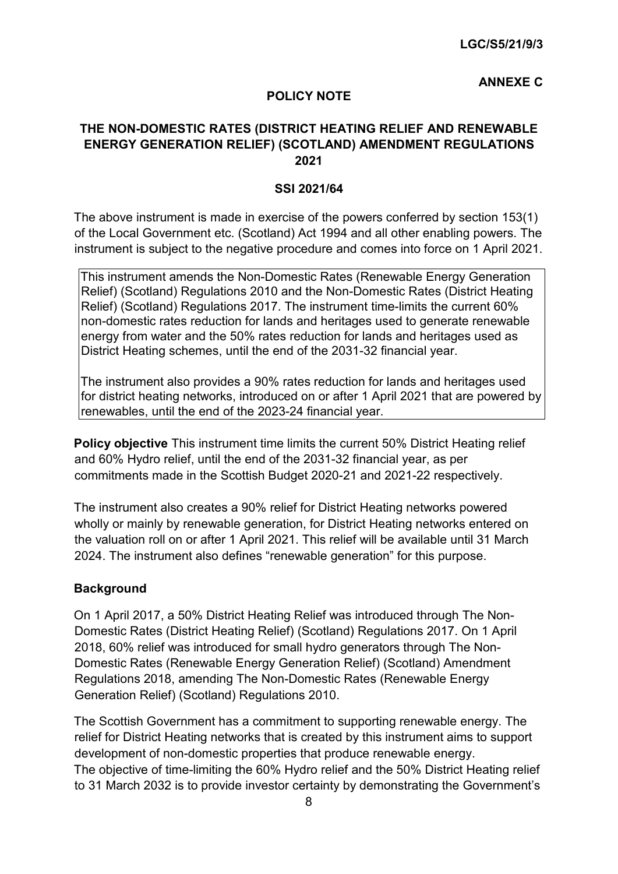## **ANNEXE C**

#### **POLICY NOTE**

## **THE NON-DOMESTIC RATES (DISTRICT HEATING RELIEF AND RENEWABLE ENERGY GENERATION RELIEF) (SCOTLAND) AMENDMENT REGULATIONS 2021**

#### **SSI 2021/64**

The above instrument is made in exercise of the powers conferred by section 153(1) of the Local Government etc. (Scotland) Act 1994 and all other enabling powers. The instrument is subject to the negative procedure and comes into force on 1 April 2021.

This instrument amends the Non-Domestic Rates (Renewable Energy Generation Relief) (Scotland) Regulations 2010 and the Non-Domestic Rates (District Heating Relief) (Scotland) Regulations 2017. The instrument time-limits the current 60% non-domestic rates reduction for lands and heritages used to generate renewable energy from water and the 50% rates reduction for lands and heritages used as District Heating schemes, until the end of the 2031-32 financial year.

The instrument also provides a 90% rates reduction for lands and heritages used for district heating networks, introduced on or after 1 April 2021 that are powered by renewables, until the end of the 2023-24 financial year.

**Policy objective** This instrument time limits the current 50% District Heating relief and 60% Hydro relief, until the end of the 2031-32 financial year, as per commitments made in the Scottish Budget 2020-21 and 2021-22 respectively.

The instrument also creates a 90% relief for District Heating networks powered wholly or mainly by renewable generation, for District Heating networks entered on the valuation roll on or after 1 April 2021. This relief will be available until 31 March 2024. The instrument also defines "renewable generation" for this purpose.

#### **Background**

On 1 April 2017, a 50% District Heating Relief was introduced through The Non-Domestic Rates (District Heating Relief) (Scotland) Regulations 2017. On 1 April 2018, 60% relief was introduced for small hydro generators through The Non-Domestic Rates (Renewable Energy Generation Relief) (Scotland) Amendment Regulations 2018, amending The Non-Domestic Rates (Renewable Energy Generation Relief) (Scotland) Regulations 2010.

The Scottish Government has a commitment to supporting renewable energy. The relief for District Heating networks that is created by this instrument aims to support development of non-domestic properties that produce renewable energy. The objective of time-limiting the 60% Hydro relief and the 50% District Heating relief to 31 March 2032 is to provide investor certainty by demonstrating the Government's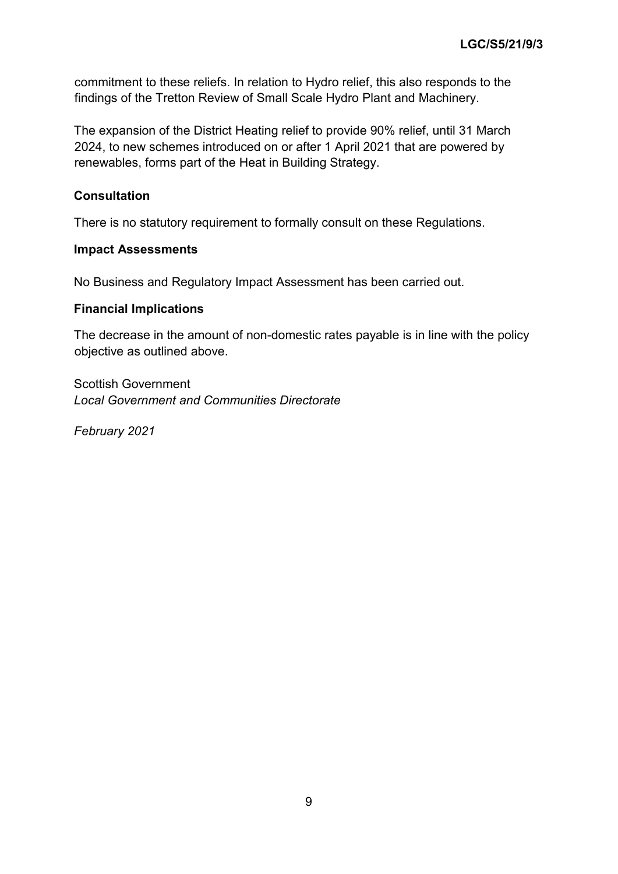commitment to these reliefs. In relation to Hydro relief, this also responds to the findings of the Tretton Review of Small Scale Hydro Plant and Machinery.

The expansion of the District Heating relief to provide 90% relief, until 31 March 2024, to new schemes introduced on or after 1 April 2021 that are powered by renewables, forms part of the Heat in Building Strategy.

## **Consultation**

There is no statutory requirement to formally consult on these Regulations.

#### **Impact Assessments**

No Business and Regulatory Impact Assessment has been carried out.

#### **Financial Implications**

The decrease in the amount of non-domestic rates payable is in line with the policy objective as outlined above.

Scottish Government *Local Government and Communities Directorate* 

*February 2021*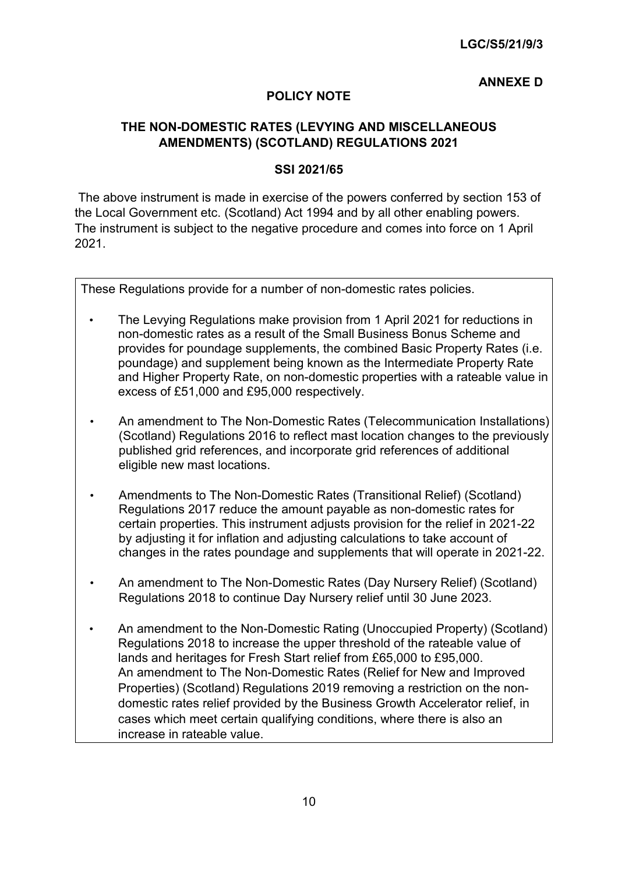### **ANNEXE D**

## **POLICY NOTE**

## **THE NON-DOMESTIC RATES (LEVYING AND MISCELLANEOUS AMENDMENTS) (SCOTLAND) REGULATIONS 2021**

#### **SSI 2021/65**

The above instrument is made in exercise of the powers conferred by section 153 of the Local Government etc. (Scotland) Act 1994 and by all other enabling powers. The instrument is subject to the negative procedure and comes into force on 1 April 2021.

These Regulations provide for a number of non-domestic rates policies.

- The Levying Regulations make provision from 1 April 2021 for reductions in non-domestic rates as a result of the Small Business Bonus Scheme and provides for poundage supplements, the combined Basic Property Rates (i.e. poundage) and supplement being known as the Intermediate Property Rate and Higher Property Rate, on non-domestic properties with a rateable value in excess of £51,000 and £95,000 respectively.
- An amendment to The Non-Domestic Rates (Telecommunication Installations) (Scotland) Regulations 2016 to reflect mast location changes to the previously published grid references, and incorporate grid references of additional eligible new mast locations.
- Amendments to The Non-Domestic Rates (Transitional Relief) (Scotland) Regulations 2017 reduce the amount payable as non-domestic rates for certain properties. This instrument adjusts provision for the relief in 2021-22 by adjusting it for inflation and adjusting calculations to take account of changes in the rates poundage and supplements that will operate in 2021-22.
- An amendment to The Non-Domestic Rates (Day Nursery Relief) (Scotland) Regulations 2018 to continue Day Nursery relief until 30 June 2023.
- An amendment to the Non-Domestic Rating (Unoccupied Property) (Scotland) Regulations 2018 to increase the upper threshold of the rateable value of lands and heritages for Fresh Start relief from £65,000 to £95,000. An amendment to The Non-Domestic Rates (Relief for New and Improved Properties) (Scotland) Regulations 2019 removing a restriction on the nondomestic rates relief provided by the Business Growth Accelerator relief, in cases which meet certain qualifying conditions, where there is also an increase in rateable value.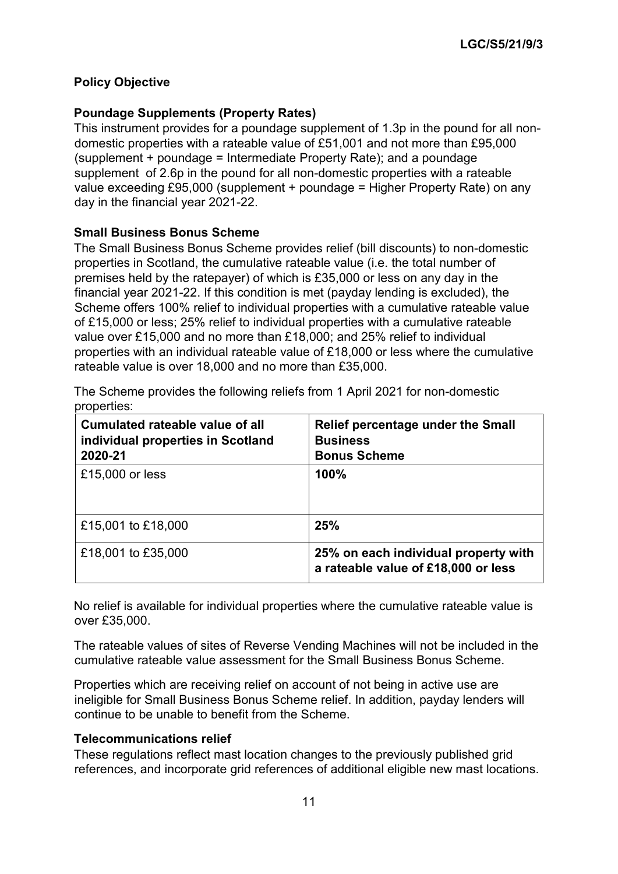# **Policy Objective**

# **Poundage Supplements (Property Rates)**

This instrument provides for a poundage supplement of 1.3p in the pound for all nondomestic properties with a rateable value of £51,001 and not more than £95,000 (supplement + poundage = Intermediate Property Rate); and a poundage supplement of 2.6p in the pound for all non-domestic properties with a rateable value exceeding £95,000 (supplement + poundage = Higher Property Rate) on any day in the financial year 2021-22.

## **Small Business Bonus Scheme**

The Small Business Bonus Scheme provides relief (bill discounts) to non-domestic properties in Scotland, the cumulative rateable value (i.e. the total number of premises held by the ratepayer) of which is £35,000 or less on any day in the financial year 2021-22. If this condition is met (payday lending is excluded), the Scheme offers 100% relief to individual properties with a cumulative rateable value of £15,000 or less; 25% relief to individual properties with a cumulative rateable value over £15,000 and no more than £18,000; and 25% relief to individual properties with an individual rateable value of £18,000 or less where the cumulative rateable value is over 18,000 and no more than £35,000.

The Scheme provides the following reliefs from 1 April 2021 for non-domestic properties:

| Cumulated rateable value of all<br>individual properties in Scotland<br>2020-21 | Relief percentage under the Small<br><b>Business</b><br><b>Bonus Scheme</b> |
|---------------------------------------------------------------------------------|-----------------------------------------------------------------------------|
| £15,000 or less                                                                 | 100%                                                                        |
| £15,001 to £18,000                                                              | 25%                                                                         |
| £18,001 to £35,000                                                              | 25% on each individual property with<br>a rateable value of £18,000 or less |

No relief is available for individual properties where the cumulative rateable value is over £35,000.

The rateable values of sites of Reverse Vending Machines will not be included in the cumulative rateable value assessment for the Small Business Bonus Scheme.

Properties which are receiving relief on account of not being in active use are ineligible for Small Business Bonus Scheme relief. In addition, payday lenders will continue to be unable to benefit from the Scheme.

#### **Telecommunications relief**

These regulations reflect mast location changes to the previously published grid references, and incorporate grid references of additional eligible new mast locations.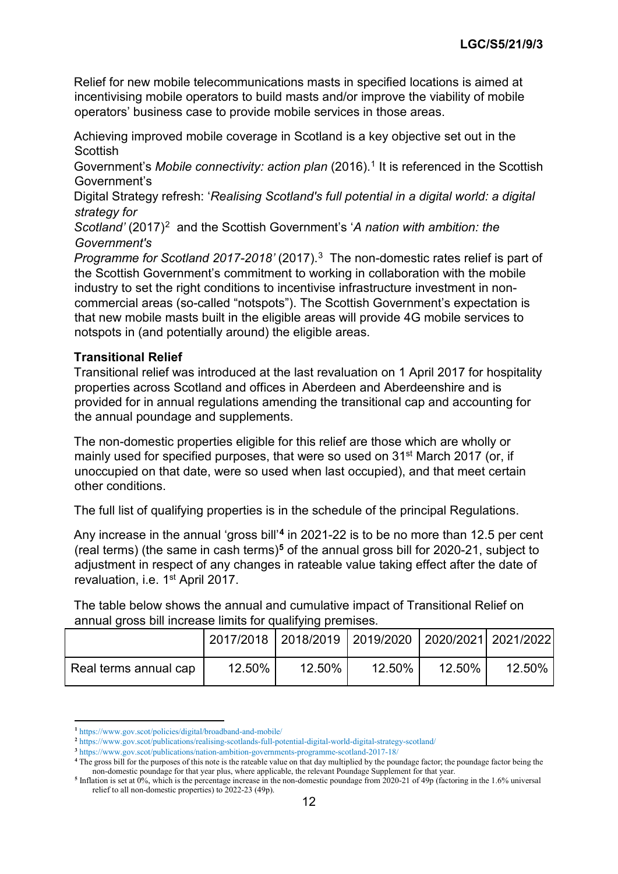Relief for new mobile telecommunications masts in specified locations is aimed at incentivising mobile operators to build masts and/or improve the viability of mobile operators' business case to provide mobile services in those areas.

Achieving improved mobile coverage in Scotland is a key objective set out in the **Scottish** 

Government's *Mobile connectivity: action plan* (20[1](#page-40-0)6).<sup>1</sup> It is referenced in the Scottish Government's

Digital Strategy refresh: '*Realising Scotland's full potential in a digital world: a digital strategy for* 

*Scotland'* (2017)<sup>2</sup> and the Scottish Government's 'A nation with ambition: the *Government's* 

*Programme for Scotland 2017-2018'* (2017).[3](#page-40-2) The non-domestic rates relief is part of the Scottish Government's commitment to working in collaboration with the mobile industry to set the right conditions to incentivise infrastructure investment in noncommercial areas (so-called "notspots"). The Scottish Government's expectation is that new mobile masts built in the eligible areas will provide 4G mobile services to notspots in (and potentially around) the eligible areas.

## **Transitional Relief**

Transitional relief was introduced at the last revaluation on 1 April 2017 for hospitality properties across Scotland and offices in Aberdeen and Aberdeenshire and is provided for in annual regulations amending the transitional cap and accounting for the annual poundage and supplements.

The non-domestic properties eligible for this relief are those which are wholly or mainly used for specified purposes, that were so used on 31<sup>st</sup> March 2017 (or, if unoccupied on that date, were so used when last occupied), and that meet certain other conditions.

The full list of qualifying properties is in the schedule of the principal Regulations.

Any increase in the annual 'gross bill'**[4](#page-40-3)** in 2021-22 is to be no more than 12.5 per cent (real terms) (the same in cash terms)**[5](#page-40-4)** of the annual gross bill for 2020-21, subject to adjustment in respect of any changes in rateable value taking effect after the date of revaluation, i.e. 1<sup>st</sup> April 2017.

The table below shows the annual and cumulative impact of Transitional Relief on annual gross bill increase limits for qualifying premises.

|                       |        | 2017/2018 2018/2019 2019/2020 2020/2021 2021/2022 |        |        |        |
|-----------------------|--------|---------------------------------------------------|--------|--------|--------|
| Real terms annual cap | 12.50% | $12.50\%$ .                                       | 12.50% | 12.50% | 12.50% |

**<sup>.</sup> <sup>1</sup>** https://www.gov.scot/policies/digital/broadband-and-mobile/

<span id="page-40-1"></span><span id="page-40-0"></span>**<sup>2</sup>** https://www.gov.scot/publications/realising-scotlands-full-potential-digital-world-digital-strategy-scotland/

**<sup>3</sup>** https://www.gov.scot/publications/nation-ambition-governments-programme-scotland-2017-18/

<span id="page-40-3"></span><span id="page-40-2"></span>**<sup>4</sup>** The gross bill for the purposes of this note is the rateable value on that day multiplied by the poundage factor; the poundage factor being the non-domestic poundage for that year plus, where applicable, the relevant Poundage Supplement for that year.

<span id="page-40-4"></span><sup>&</sup>lt;sup>5</sup> Inflation is set at 0%, which is the percentage increase in the non-domestic poundage from 2020-21 of 49p (factoring in the 1.6% universal relief to all non-domestic properties) to 2022-23 (49p).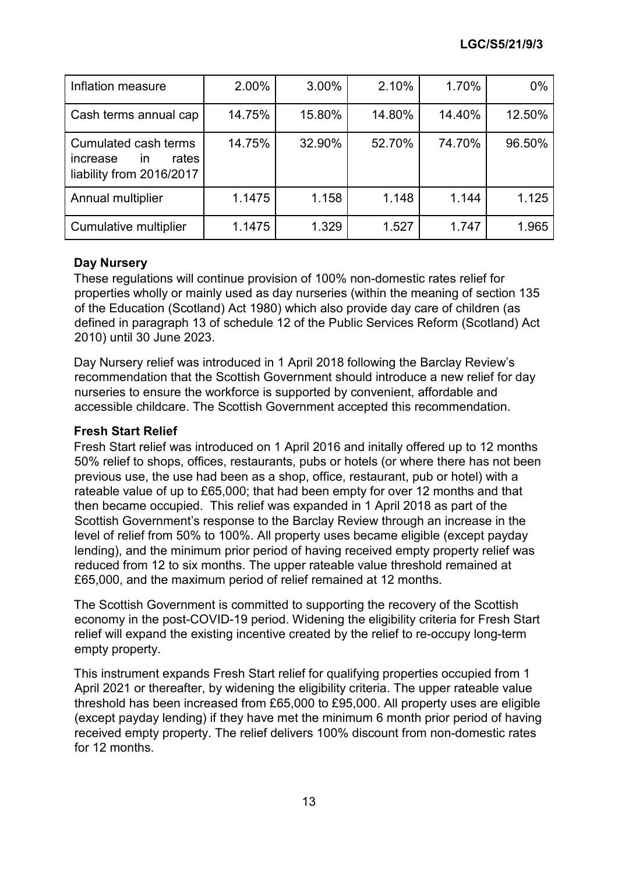| Inflation measure                                                                      | 2.00%  | 3.00%  | 2.10%  | 1.70%  | 0%     |
|----------------------------------------------------------------------------------------|--------|--------|--------|--------|--------|
| Cash terms annual cap                                                                  | 14.75% | 15.80% | 14.80% | 14.40% | 12.50% |
| Cumulated cash terms<br>rates<br>increase<br>$\mathsf{In}$<br>liability from 2016/2017 | 14.75% | 32.90% | 52.70% | 74.70% | 96.50% |
| Annual multiplier                                                                      | 1.1475 | 1.158  | 1.148  | 1.144  | 1.125  |
| Cumulative multiplier                                                                  | 1.1475 | 1.329  | 1.527  | 1.747  | 1.965  |

## **Day Nursery**

These regulations will continue provision of 100% non-domestic rates relief for properties wholly or mainly used as day nurseries (within the meaning of section 135 of the Education (Scotland) Act 1980) which also provide day care of children (as defined in paragraph 13 of schedule 12 of the Public Services Reform (Scotland) Act 2010) until 30 June 2023.

Day Nursery relief was introduced in 1 April 2018 following the Barclay Review's recommendation that the Scottish Government should introduce a new relief for day nurseries to ensure the workforce is supported by convenient, affordable and accessible childcare. The Scottish Government accepted this recommendation.

## **Fresh Start Relief**

Fresh Start relief was introduced on 1 April 2016 and initally offered up to 12 months 50% relief to shops, offices, restaurants, pubs or hotels (or where there has not been previous use, the use had been as a shop, office, restaurant, pub or hotel) with a rateable value of up to £65,000; that had been empty for over 12 months and that then became occupied. This relief was expanded in 1 April 2018 as part of the Scottish Government's response to the Barclay Review through an increase in the level of relief from 50% to 100%. All property uses became eligible (except payday lending), and the minimum prior period of having received empty property relief was reduced from 12 to six months. The upper rateable value threshold remained at £65,000, and the maximum period of relief remained at 12 months.

The Scottish Government is committed to supporting the recovery of the Scottish economy in the post-COVID-19 period. Widening the eligibility criteria for Fresh Start relief will expand the existing incentive created by the relief to re-occupy long-term empty property.

This instrument expands Fresh Start relief for qualifying properties occupied from 1 April 2021 or thereafter, by widening the eligibility criteria. The upper rateable value threshold has been increased from £65,000 to £95,000. All property uses are eligible (except payday lending) if they have met the minimum 6 month prior period of having received empty property. The relief delivers 100% discount from non-domestic rates for 12 months.